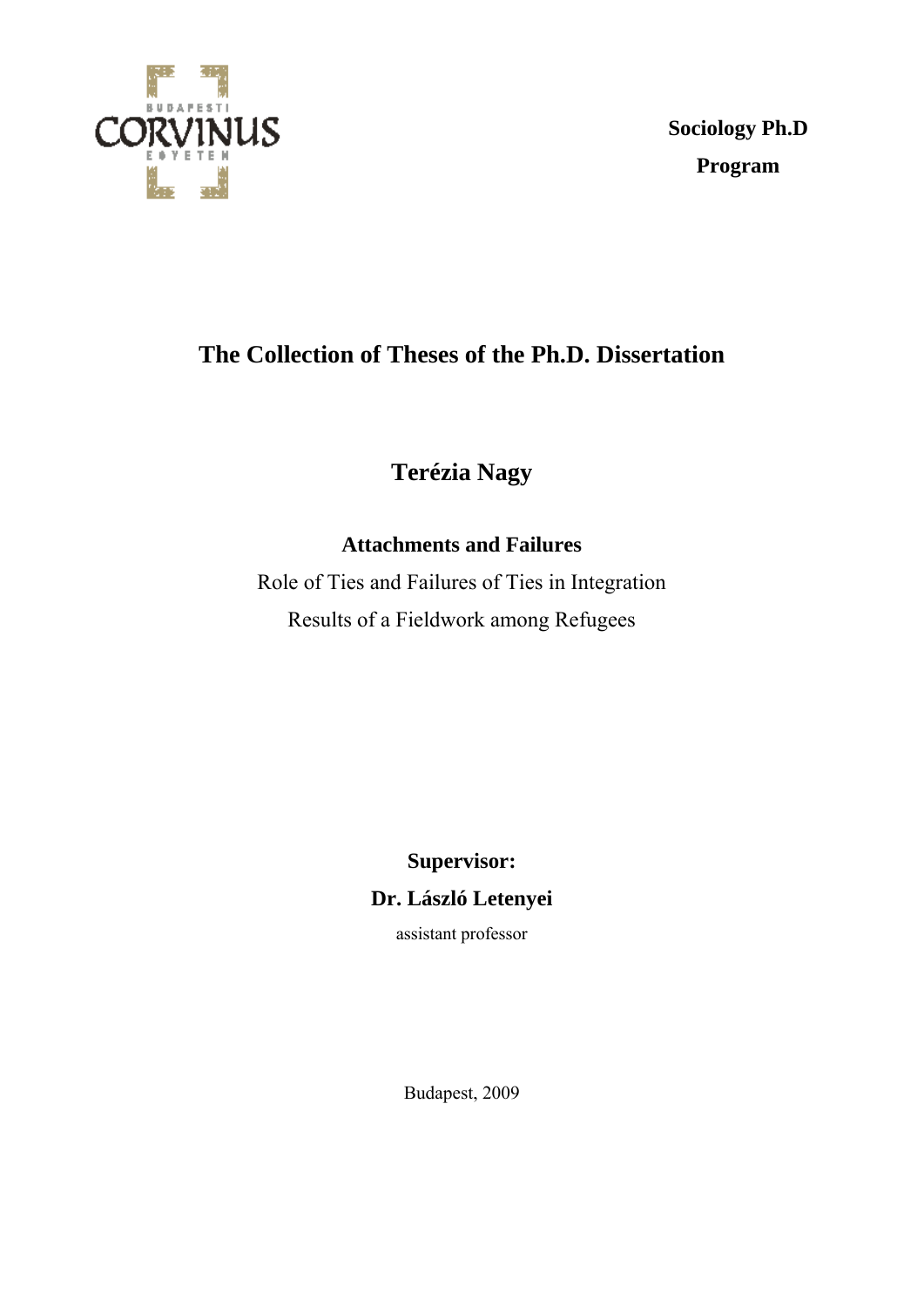

**Sociology Ph.D Program** 

# **The Collection of Theses of the Ph.D. Dissertation**

**Terézia Nagy** 

# **Attachments and Failures**

Role of Ties and Failures of Ties in Integration Results of a Fieldwork among Refugees

> **Supervisor: Dr. László Letenyei**

> > assistant professor

Budapest, 2009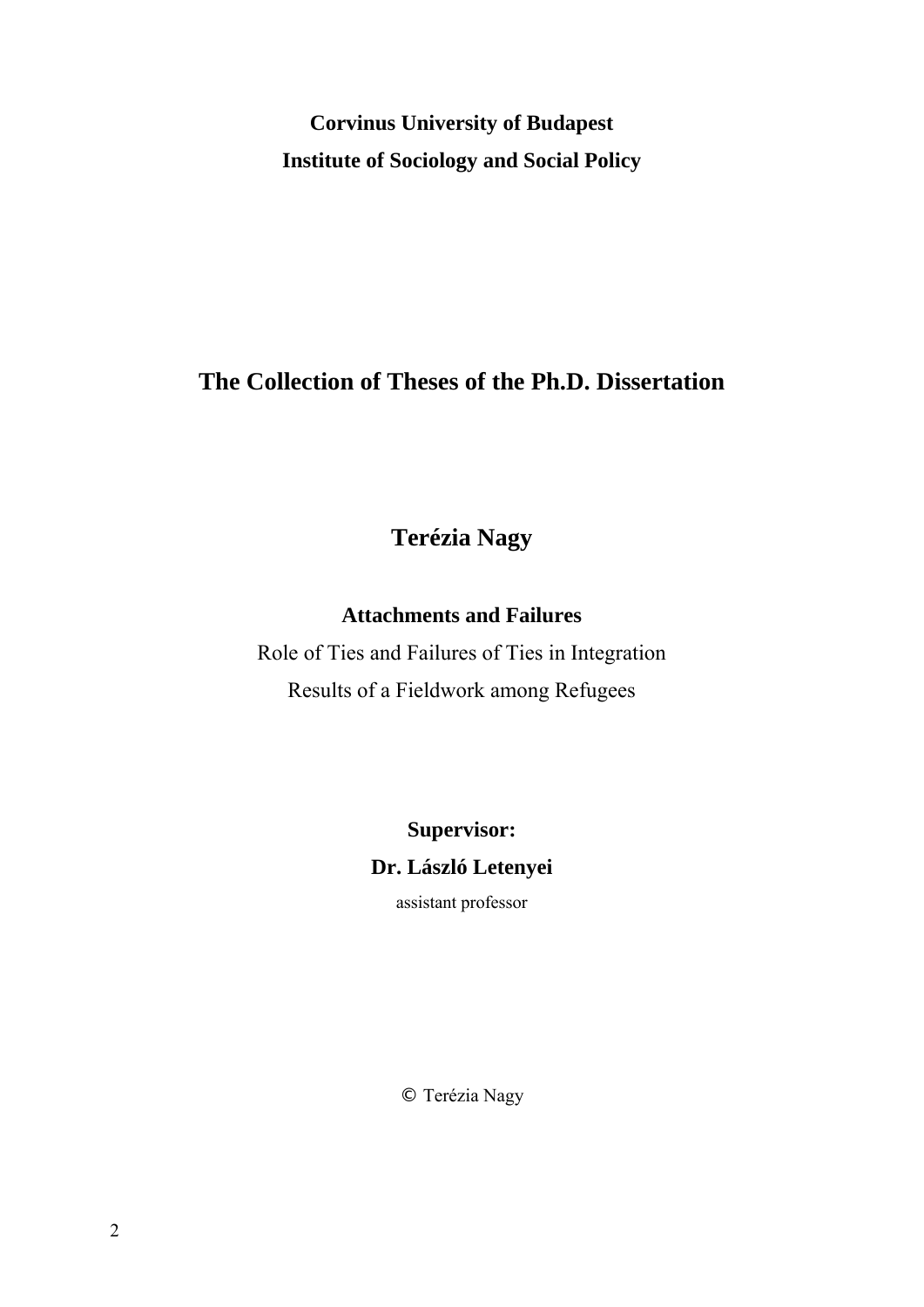**Corvinus University of Budapest Institute of Sociology and Social Policy** 

# **The Collection of Theses of the Ph.D. Dissertation**

**Terézia Nagy** 

**Attachments and Failures** 

Role of Ties and Failures of Ties in Integration Results of a Fieldwork among Refugees

> **Supervisor: Dr. László Letenyei**

> > assistant professor

© Terézia Nagy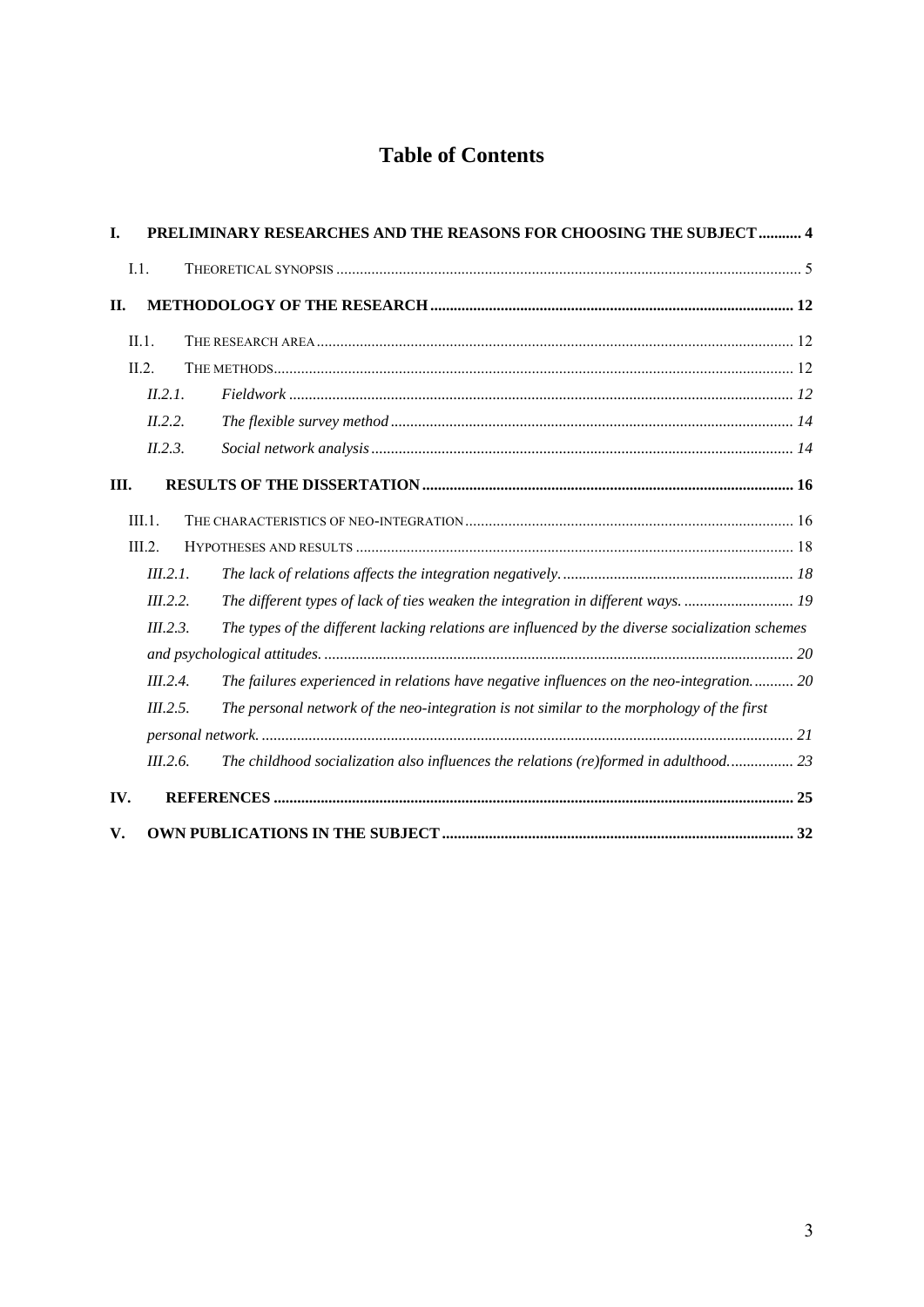# **Table of Contents**

| I.   | PRELIMINARY RESEARCHES AND THE REASONS FOR CHOOSING THE SUBJECT  4 |                                                                                                  |  |
|------|--------------------------------------------------------------------|--------------------------------------------------------------------------------------------------|--|
|      | I.1.                                                               |                                                                                                  |  |
| II.  |                                                                    |                                                                                                  |  |
|      | II.1.                                                              |                                                                                                  |  |
|      | $\Pi$ 2                                                            |                                                                                                  |  |
|      | II.2.1.                                                            |                                                                                                  |  |
|      | II.2.2.                                                            |                                                                                                  |  |
|      | II.2.3.                                                            |                                                                                                  |  |
| III. |                                                                    |                                                                                                  |  |
|      | III.1.                                                             |                                                                                                  |  |
|      | III.2.                                                             |                                                                                                  |  |
|      | III.2.1.                                                           |                                                                                                  |  |
|      | III.2.2.                                                           | The different types of lack of ties weaken the integration in different ways.  19                |  |
|      | III.2.3.                                                           | The types of the different lacking relations are influenced by the diverse socialization schemes |  |
|      |                                                                    |                                                                                                  |  |
|      | III.2.4.                                                           | The failures experienced in relations have negative influences on the neo-integration 20         |  |
|      | III.2.5.                                                           | The personal network of the neo-integration is not similar to the morphology of the first        |  |
|      |                                                                    |                                                                                                  |  |
|      | III.2.6.                                                           | The childhood socialization also influences the relations (re)formed in adulthood 23             |  |
| IV.  |                                                                    |                                                                                                  |  |
| V.   |                                                                    |                                                                                                  |  |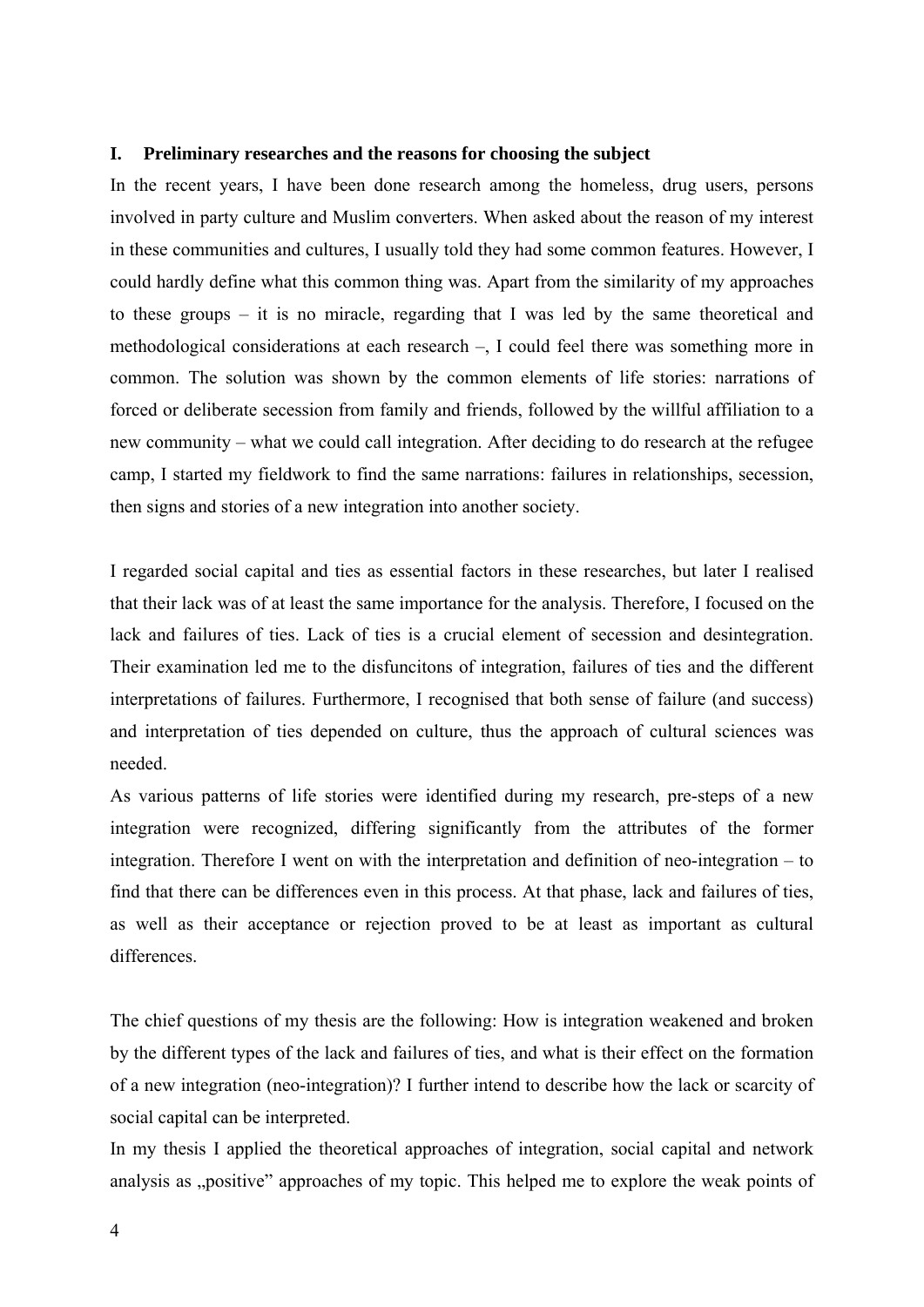#### <span id="page-3-0"></span>**I. Preliminary researches and the reasons for choosing the subject**

In the recent years, I have been done research among the homeless, drug users, persons involved in party culture and Muslim converters. When asked about the reason of my interest in these communities and cultures, I usually told they had some common features. However, I could hardly define what this common thing was. Apart from the similarity of my approaches to these groups – it is no miracle, regarding that I was led by the same theoretical and methodological considerations at each research –, I could feel there was something more in common. The solution was shown by the common elements of life stories: narrations of forced or deliberate secession from family and friends, followed by the willful affiliation to a new community – what we could call integration. After deciding to do research at the refugee camp, I started my fieldwork to find the same narrations: failures in relationships, secession, then signs and stories of a new integration into another society.

I regarded social capital and ties as essential factors in these researches, but later I realised that their lack was of at least the same importance for the analysis. Therefore, I focused on the lack and failures of ties. Lack of ties is a crucial element of secession and desintegration. Their examination led me to the disfuncitons of integration, failures of ties and the different interpretations of failures. Furthermore, I recognised that both sense of failure (and success) and interpretation of ties depended on culture, thus the approach of cultural sciences was needed.

As various patterns of life stories were identified during my research, pre-steps of a new integration were recognized, differing significantly from the attributes of the former integration. Therefore I went on with the interpretation and definition of neo-integration – to find that there can be differences even in this process. At that phase, lack and failures of ties, as well as their acceptance or rejection proved to be at least as important as cultural differences.

The chief questions of my thesis are the following: How is integration weakened and broken by the different types of the lack and failures of ties, and what is their effect on the formation of a new integration (neo-integration)? I further intend to describe how the lack or scarcity of social capital can be interpreted.

In my thesis I applied the theoretical approaches of integration, social capital and network analysis as "positive" approaches of my topic. This helped me to explore the weak points of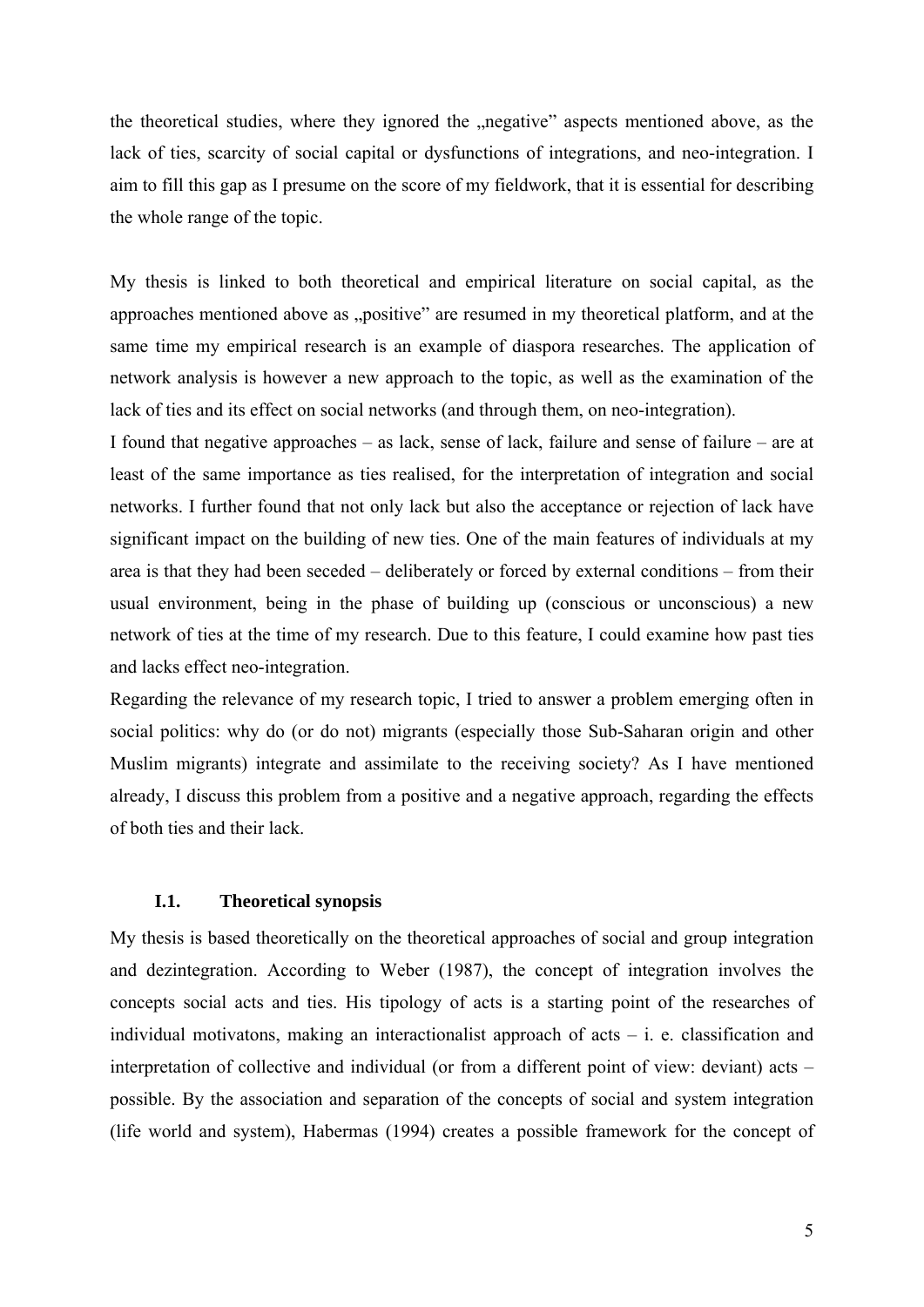<span id="page-4-0"></span>the theoretical studies, where they ignored the "negative" aspects mentioned above, as the lack of ties, scarcity of social capital or dysfunctions of integrations, and neo-integration. I aim to fill this gap as I presume on the score of my fieldwork, that it is essential for describing the whole range of the topic.

My thesis is linked to both theoretical and empirical literature on social capital, as the approaches mentioned above as "positive" are resumed in my theoretical platform, and at the same time my empirical research is an example of diaspora researches. The application of network analysis is however a new approach to the topic, as well as the examination of the lack of ties and its effect on social networks (and through them, on neo-integration).

I found that negative approaches – as lack, sense of lack, failure and sense of failure – are at least of the same importance as ties realised, for the interpretation of integration and social networks. I further found that not only lack but also the acceptance or rejection of lack have significant impact on the building of new ties. One of the main features of individuals at my area is that they had been seceded – deliberately or forced by external conditions – from their usual environment, being in the phase of building up (conscious or unconscious) a new network of ties at the time of my research. Due to this feature, I could examine how past ties and lacks effect neo-integration.

Regarding the relevance of my research topic, I tried to answer a problem emerging often in social politics: why do (or do not) migrants (especially those Sub-Saharan origin and other Muslim migrants) integrate and assimilate to the receiving society? As I have mentioned already, I discuss this problem from a positive and a negative approach, regarding the effects of both ties and their lack.

# **I.1. Theoretical synopsis**

My thesis is based theoretically on the theoretical approaches of social and group integration and dezintegration. According to Weber (1987), the concept of integration involves the concepts social acts and ties. His tipology of acts is a starting point of the researches of individual motivatons, making an interactionalist approach of acts  $-$  i. e. classification and interpretation of collective and individual (or from a different point of view: deviant) acts – possible. By the association and separation of the concepts of social and system integration (life world and system), Habermas (1994) creates a possible framework for the concept of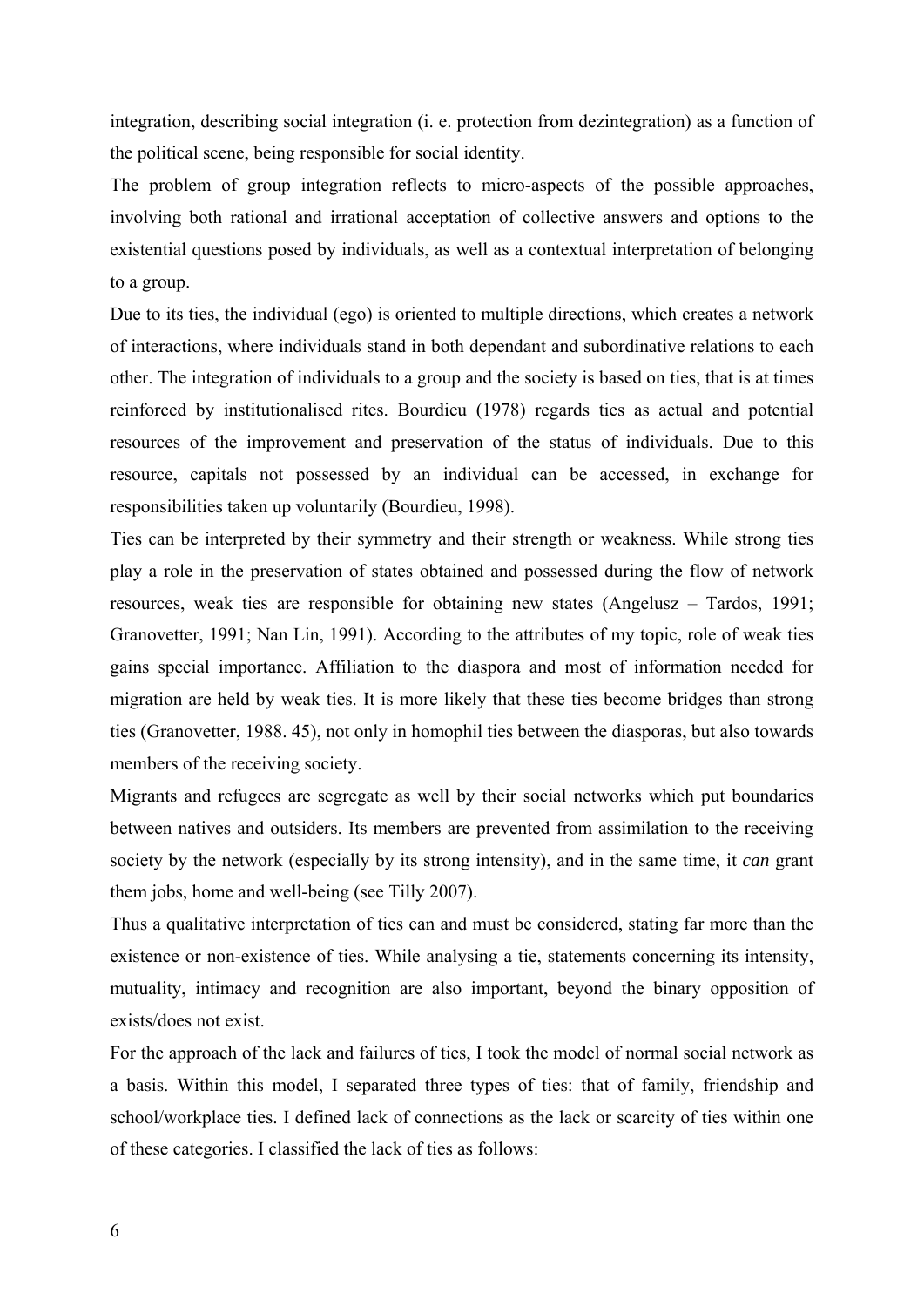integration, describing social integration (i. e. protection from dezintegration) as a function of the political scene, being responsible for social identity.

The problem of group integration reflects to micro-aspects of the possible approaches, involving both rational and irrational acceptation of collective answers and options to the existential questions posed by individuals, as well as a contextual interpretation of belonging to a group.

Due to its ties, the individual (ego) is oriented to multiple directions, which creates a network of interactions, where individuals stand in both dependant and subordinative relations to each other. The integration of individuals to a group and the society is based on ties, that is at times reinforced by institutionalised rites. Bourdieu (1978) regards ties as actual and potential resources of the improvement and preservation of the status of individuals. Due to this resource, capitals not possessed by an individual can be accessed, in exchange for responsibilities taken up voluntarily (Bourdieu, 1998).

Ties can be interpreted by their symmetry and their strength or weakness. While strong ties play a role in the preservation of states obtained and possessed during the flow of network resources, weak ties are responsible for obtaining new states (Angelusz – Tardos, 1991; Granovetter, 1991; Nan Lin, 1991). According to the attributes of my topic, role of weak ties gains special importance. Affiliation to the diaspora and most of information needed for migration are held by weak ties. It is more likely that these ties become bridges than strong ties (Granovetter, 1988. 45), not only in homophil ties between the diasporas, but also towards members of the receiving society.

Migrants and refugees are segregate as well by their social networks which put boundaries between natives and outsiders. Its members are prevented from assimilation to the receiving society by the network (especially by its strong intensity), and in the same time, it *can* grant them jobs, home and well-being (see Tilly 2007).

Thus a qualitative interpretation of ties can and must be considered, stating far more than the existence or non-existence of ties. While analysing a tie, statements concerning its intensity, mutuality, intimacy and recognition are also important, beyond the binary opposition of exists/does not exist.

For the approach of the lack and failures of ties, I took the model of normal social network as a basis. Within this model, I separated three types of ties: that of family, friendship and school/workplace ties. I defined lack of connections as the lack or scarcity of ties within one of these categories. I classified the lack of ties as follows: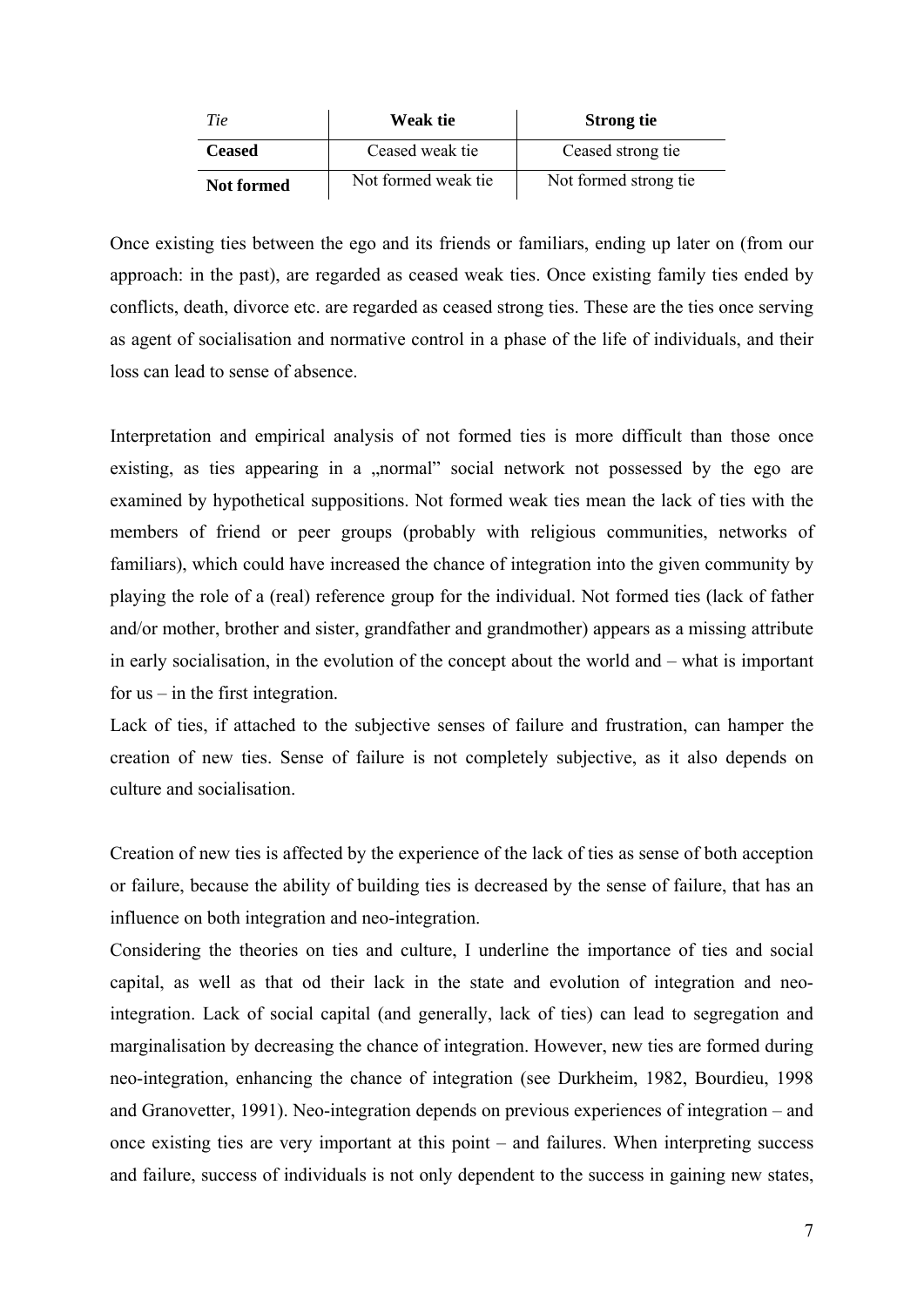| Tie               | Weak tie            | <b>Strong tie</b>     |
|-------------------|---------------------|-----------------------|
| <b>Ceased</b>     | Ceased weak tie     | Ceased strong tie     |
| <b>Not formed</b> | Not formed weak tie | Not formed strong tie |

Once existing ties between the ego and its friends or familiars, ending up later on (from our approach: in the past), are regarded as ceased weak ties. Once existing family ties ended by conflicts, death, divorce etc. are regarded as ceased strong ties. These are the ties once serving as agent of socialisation and normative control in a phase of the life of individuals, and their loss can lead to sense of absence.

Interpretation and empirical analysis of not formed ties is more difficult than those once existing, as ties appearing in a "normal" social network not possessed by the ego are examined by hypothetical suppositions. Not formed weak ties mean the lack of ties with the members of friend or peer groups (probably with religious communities, networks of familiars), which could have increased the chance of integration into the given community by playing the role of a (real) reference group for the individual. Not formed ties (lack of father and/or mother, brother and sister, grandfather and grandmother) appears as a missing attribute in early socialisation, in the evolution of the concept about the world and – what is important for us – in the first integration.

Lack of ties, if attached to the subjective senses of failure and frustration, can hamper the creation of new ties. Sense of failure is not completely subjective, as it also depends on culture and socialisation.

Creation of new ties is affected by the experience of the lack of ties as sense of both acception or failure, because the ability of building ties is decreased by the sense of failure, that has an influence on both integration and neo-integration.

Considering the theories on ties and culture, I underline the importance of ties and social capital, as well as that od their lack in the state and evolution of integration and neointegration. Lack of social capital (and generally, lack of ties) can lead to segregation and marginalisation by decreasing the chance of integration. However, new ties are formed during neo-integration, enhancing the chance of integration (see Durkheim, 1982, Bourdieu, 1998 and Granovetter, 1991). Neo-integration depends on previous experiences of integration – and once existing ties are very important at this point – and failures. When interpreting success and failure, success of individuals is not only dependent to the success in gaining new states,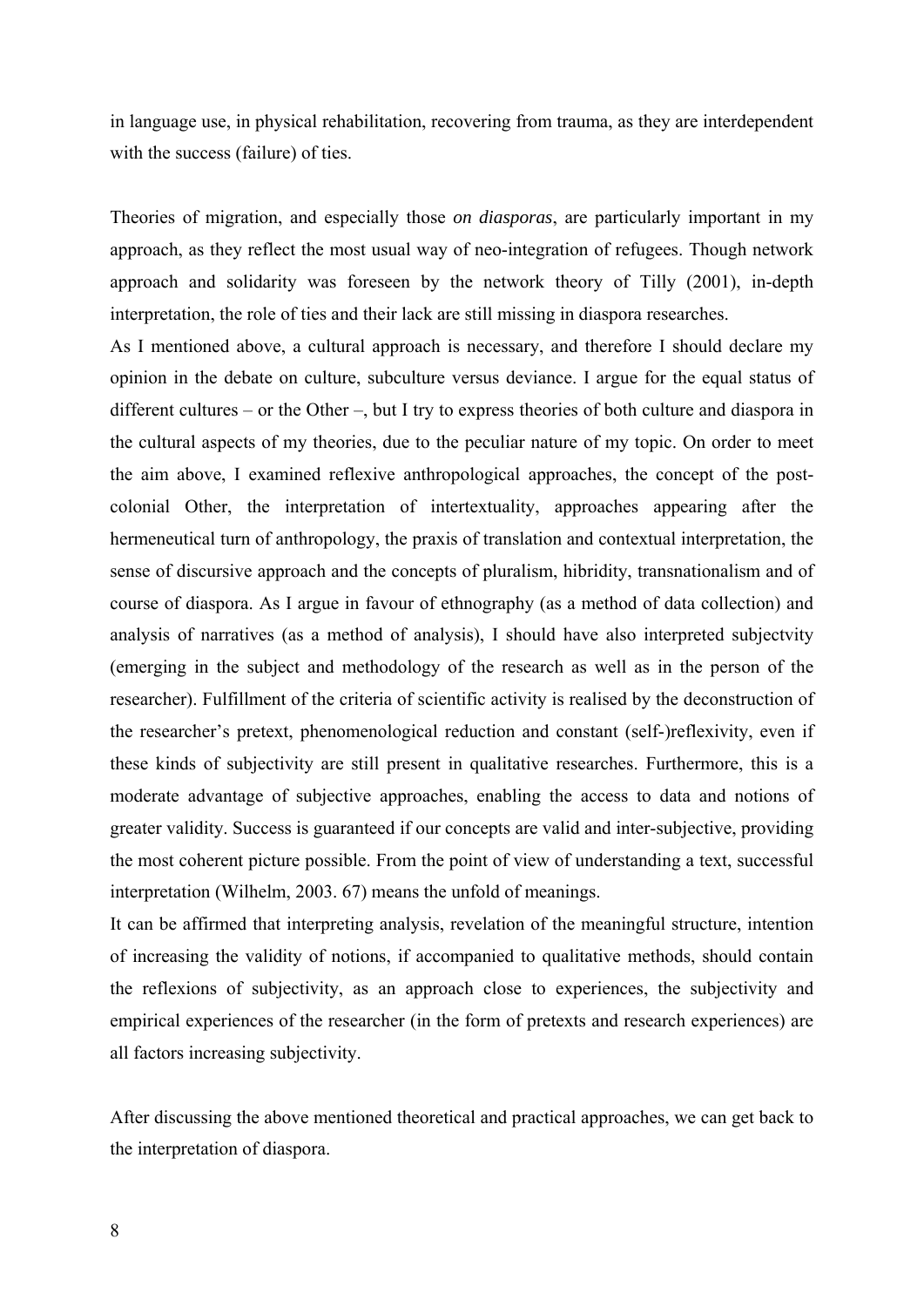in language use, in physical rehabilitation, recovering from trauma, as they are interdependent with the success (failure) of ties.

Theories of migration, and especially those *on diasporas*, are particularly important in my approach, as they reflect the most usual way of neo-integration of refugees. Though network approach and solidarity was foreseen by the network theory of Tilly (2001), in-depth interpretation, the role of ties and their lack are still missing in diaspora researches.

As I mentioned above, a cultural approach is necessary, and therefore I should declare my opinion in the debate on culture, subculture versus deviance. I argue for the equal status of different cultures – or the Other –, but I try to express theories of both culture and diaspora in the cultural aspects of my theories, due to the peculiar nature of my topic. On order to meet the aim above, I examined reflexive anthropological approaches, the concept of the postcolonial Other, the interpretation of intertextuality, approaches appearing after the hermeneutical turn of anthropology, the praxis of translation and contextual interpretation, the sense of discursive approach and the concepts of pluralism, hibridity, transnationalism and of course of diaspora. As I argue in favour of ethnography (as a method of data collection) and analysis of narratives (as a method of analysis), I should have also interpreted subjectvity (emerging in the subject and methodology of the research as well as in the person of the researcher). Fulfillment of the criteria of scientific activity is realised by the deconstruction of the researcher's pretext, phenomenological reduction and constant (self-)reflexivity, even if these kinds of subjectivity are still present in qualitative researches. Furthermore, this is a moderate advantage of subjective approaches, enabling the access to data and notions of greater validity. Success is guaranteed if our concepts are valid and inter-subjective, providing the most coherent picture possible. From the point of view of understanding a text, successful interpretation (Wilhelm, 2003. 67) means the unfold of meanings.

It can be affirmed that interpreting analysis, revelation of the meaningful structure, intention of increasing the validity of notions, if accompanied to qualitative methods, should contain the reflexions of subjectivity, as an approach close to experiences, the subjectivity and empirical experiences of the researcher (in the form of pretexts and research experiences) are all factors increasing subjectivity.

After discussing the above mentioned theoretical and practical approaches, we can get back to the interpretation of diaspora.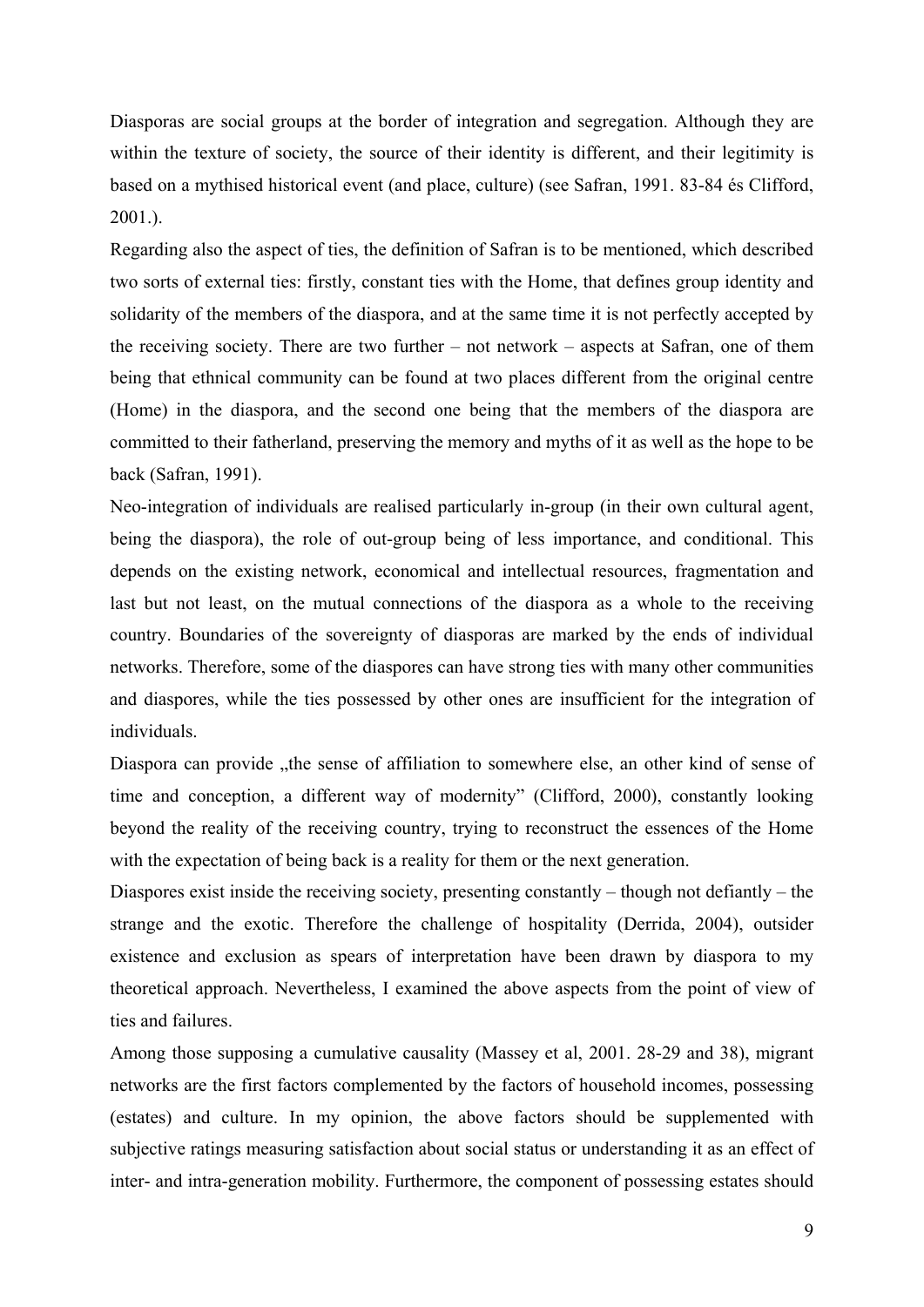Diasporas are social groups at the border of integration and segregation. Although they are within the texture of society, the source of their identity is different, and their legitimity is based on a mythised historical event (and place, culture) (see Safran, 1991. 83-84 és Clifford, 2001.).

Regarding also the aspect of ties, the definition of Safran is to be mentioned, which described two sorts of external ties: firstly, constant ties with the Home, that defines group identity and solidarity of the members of the diaspora, and at the same time it is not perfectly accepted by the receiving society. There are two further – not network – aspects at Safran, one of them being that ethnical community can be found at two places different from the original centre (Home) in the diaspora, and the second one being that the members of the diaspora are committed to their fatherland, preserving the memory and myths of it as well as the hope to be back (Safran, 1991).

Neo-integration of individuals are realised particularly in-group (in their own cultural agent, being the diaspora), the role of out-group being of less importance, and conditional. This depends on the existing network, economical and intellectual resources, fragmentation and last but not least, on the mutual connections of the diaspora as a whole to the receiving country. Boundaries of the sovereignty of diasporas are marked by the ends of individual networks. Therefore, some of the diaspores can have strong ties with many other communities and diaspores, while the ties possessed by other ones are insufficient for the integration of individuals.

Diaspora can provide "the sense of affiliation to somewhere else, an other kind of sense of time and conception, a different way of modernity" (Clifford, 2000), constantly looking beyond the reality of the receiving country, trying to reconstruct the essences of the Home with the expectation of being back is a reality for them or the next generation.

Diaspores exist inside the receiving society, presenting constantly – though not defiantly – the strange and the exotic. Therefore the challenge of hospitality (Derrida, 2004), outsider existence and exclusion as spears of interpretation have been drawn by diaspora to my theoretical approach. Nevertheless, I examined the above aspects from the point of view of ties and failures.

Among those supposing a cumulative causality (Massey et al, 2001. 28-29 and 38), migrant networks are the first factors complemented by the factors of household incomes, possessing (estates) and culture. In my opinion, the above factors should be supplemented with subjective ratings measuring satisfaction about social status or understanding it as an effect of inter- and intra-generation mobility. Furthermore, the component of possessing estates should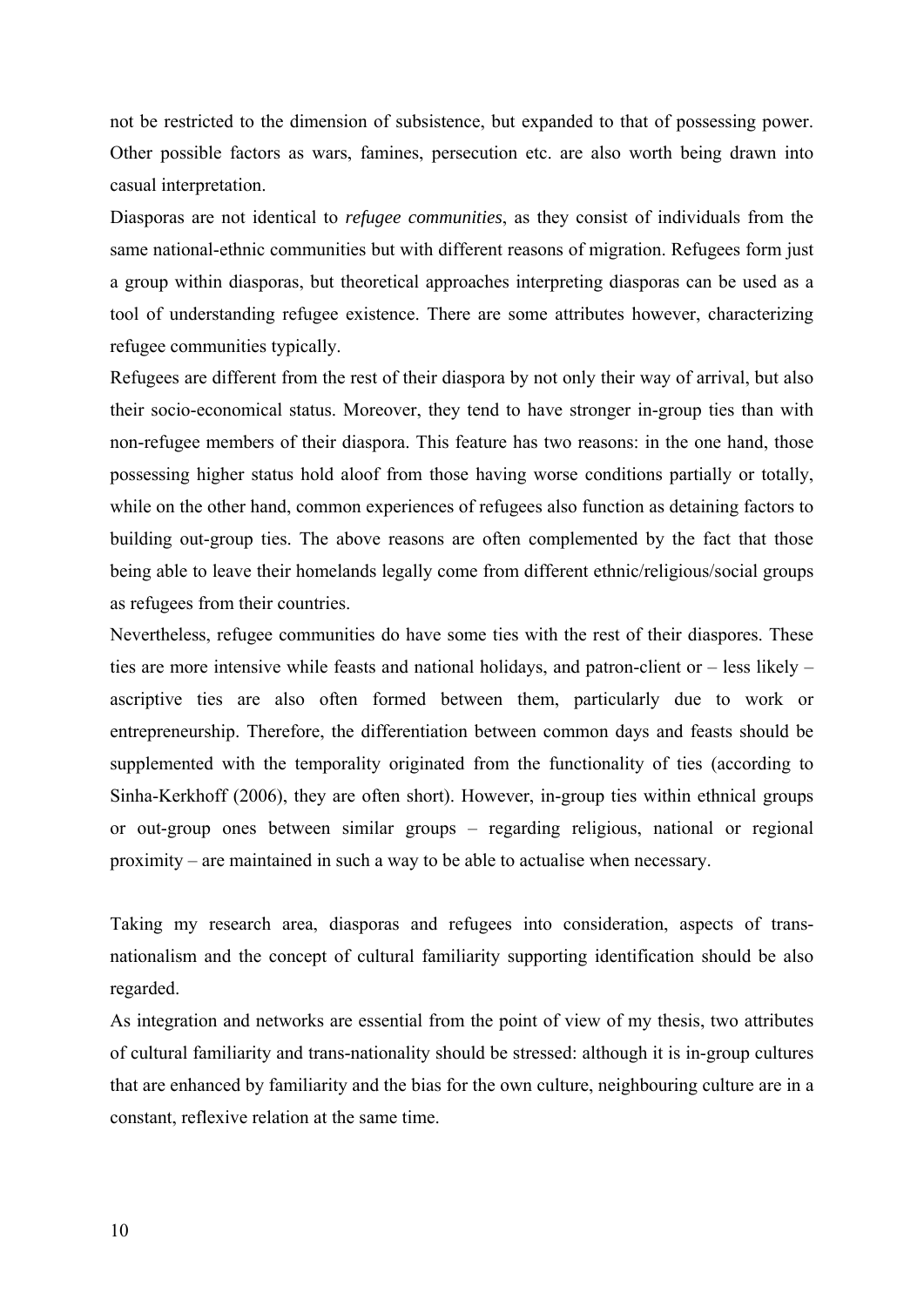not be restricted to the dimension of subsistence, but expanded to that of possessing power. Other possible factors as wars, famines, persecution etc. are also worth being drawn into casual interpretation.

Diasporas are not identical to *refugee communities*, as they consist of individuals from the same national-ethnic communities but with different reasons of migration. Refugees form just a group within diasporas, but theoretical approaches interpreting diasporas can be used as a tool of understanding refugee existence. There are some attributes however, characterizing refugee communities typically.

Refugees are different from the rest of their diaspora by not only their way of arrival, but also their socio-economical status. Moreover, they tend to have stronger in-group ties than with non-refugee members of their diaspora. This feature has two reasons: in the one hand, those possessing higher status hold aloof from those having worse conditions partially or totally, while on the other hand, common experiences of refugees also function as detaining factors to building out-group ties. The above reasons are often complemented by the fact that those being able to leave their homelands legally come from different ethnic/religious/social groups as refugees from their countries.

Nevertheless, refugee communities do have some ties with the rest of their diaspores. These ties are more intensive while feasts and national holidays, and patron-client or – less likely – ascriptive ties are also often formed between them, particularly due to work or entrepreneurship. Therefore, the differentiation between common days and feasts should be supplemented with the temporality originated from the functionality of ties (according to Sinha-Kerkhoff (2006), they are often short). However, in-group ties within ethnical groups or out-group ones between similar groups – regarding religious, national or regional proximity – are maintained in such a way to be able to actualise when necessary.

Taking my research area, diasporas and refugees into consideration, aspects of transnationalism and the concept of cultural familiarity supporting identification should be also regarded.

As integration and networks are essential from the point of view of my thesis, two attributes of cultural familiarity and trans-nationality should be stressed: although it is in-group cultures that are enhanced by familiarity and the bias for the own culture, neighbouring culture are in a constant, reflexive relation at the same time.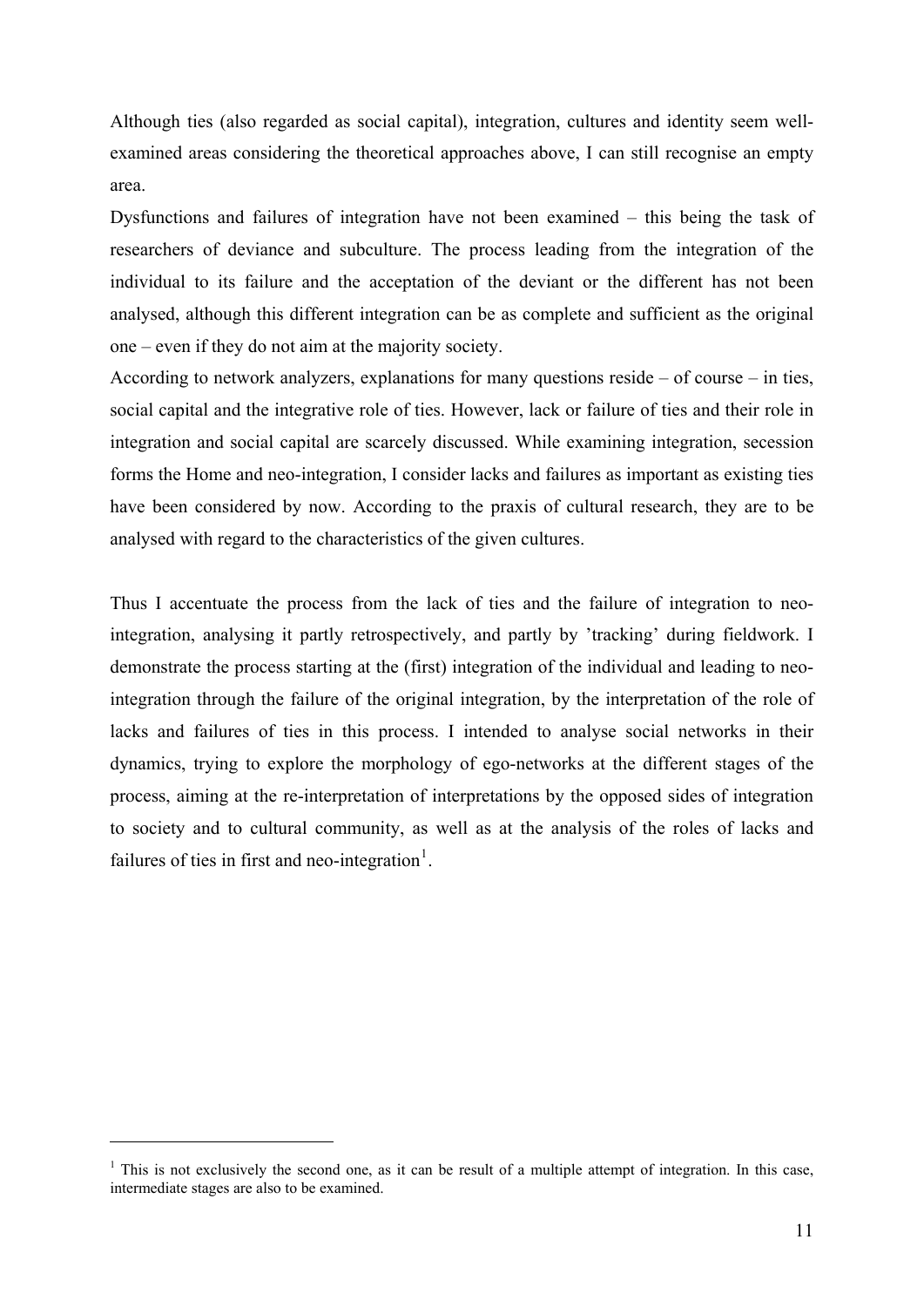Although ties (also regarded as social capital), integration, cultures and identity seem wellexamined areas considering the theoretical approaches above, I can still recognise an empty area.

Dysfunctions and failures of integration have not been examined – this being the task of researchers of deviance and subculture. The process leading from the integration of the individual to its failure and the acceptation of the deviant or the different has not been analysed, although this different integration can be as complete and sufficient as the original one – even if they do not aim at the majority society.

According to network analyzers, explanations for many questions reside – of course – in ties, social capital and the integrative role of ties. However, lack or failure of ties and their role in integration and social capital are scarcely discussed. While examining integration, secession forms the Home and neo-integration, I consider lacks and failures as important as existing ties have been considered by now. According to the praxis of cultural research, they are to be analysed with regard to the characteristics of the given cultures.

Thus I accentuate the process from the lack of ties and the failure of integration to neointegration, analysing it partly retrospectively, and partly by 'tracking' during fieldwork. I demonstrate the process starting at the (first) integration of the individual and leading to neointegration through the failure of the original integration, by the interpretation of the role of lacks and failures of ties in this process. I intended to analyse social networks in their dynamics, trying to explore the morphology of ego-networks at the different stages of the process, aiming at the re-interpretation of interpretations by the opposed sides of integration to society and to cultural community, as well as at the analysis of the roles of lacks and failures of ties in first and neo-integration<sup>[1](#page-10-0)</sup>.

1

<span id="page-10-0"></span> $<sup>1</sup>$  This is not exclusively the second one, as it can be result of a multiple attempt of integration. In this case,</sup> intermediate stages are also to be examined.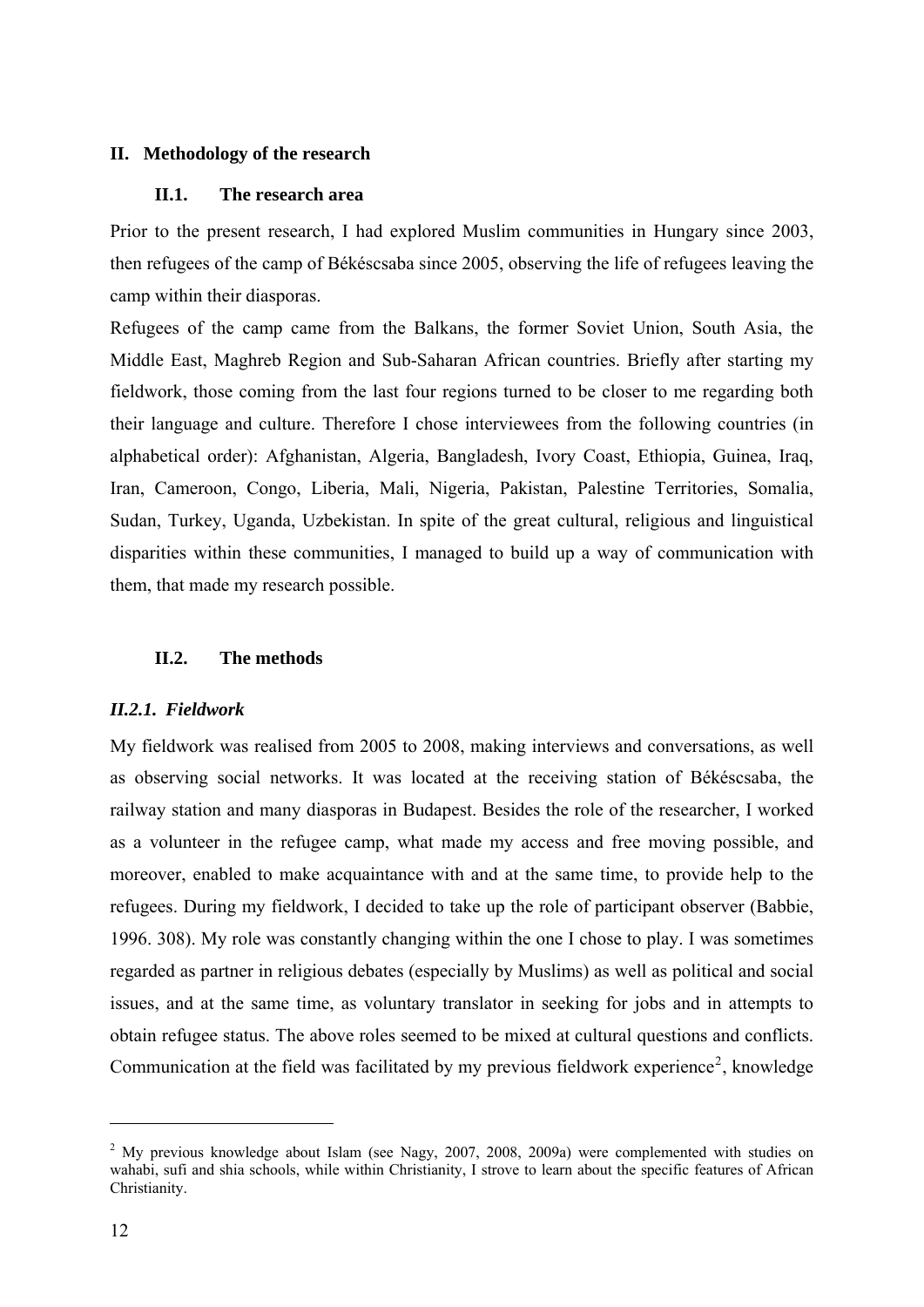### <span id="page-11-0"></span>**II. Methodology of the research**

### **II.1. The research area**

Prior to the present research, I had explored Muslim communities in Hungary since 2003, then refugees of the camp of Békéscsaba since 2005, observing the life of refugees leaving the camp within their diasporas.

Refugees of the camp came from the Balkans, the former Soviet Union, South Asia, the Middle East, Maghreb Region and Sub-Saharan African countries. Briefly after starting my fieldwork, those coming from the last four regions turned to be closer to me regarding both their language and culture. Therefore I chose interviewees from the following countries (in alphabetical order): Afghanistan, Algeria, Bangladesh, Ivory Coast, Ethiopia, Guinea, Iraq, Iran, Cameroon, Congo, Liberia, Mali, Nigeria, Pakistan, Palestine Territories, Somalia, Sudan, Turkey, Uganda, Uzbekistan. In spite of the great cultural, religious and linguistical disparities within these communities, I managed to build up a way of communication with them, that made my research possible.

#### **II.2. The methods**

# *II.2.1. Fieldwork*

My fieldwork was realised from 2005 to 2008, making interviews and conversations, as well as observing social networks. It was located at the receiving station of Békéscsaba, the railway station and many diasporas in Budapest. Besides the role of the researcher, I worked as a volunteer in the refugee camp, what made my access and free moving possible, and moreover, enabled to make acquaintance with and at the same time, to provide help to the refugees. During my fieldwork, I decided to take up the role of participant observer (Babbie, 1996. 308). My role was constantly changing within the one I chose to play. I was sometimes regarded as partner in religious debates (especially by Muslims) as well as political and social issues, and at the same time, as voluntary translator in seeking for jobs and in attempts to obtain refugee status. The above roles seemed to be mixed at cultural questions and conflicts. Communication at the field was facilitated by my previous fieldwork experience<sup>[2](#page-11-1)</sup>, knowledge

<u>.</u>

<span id="page-11-1"></span> $2$  My previous knowledge about Islam (see Nagy, 2007, 2008, 2009a) were complemented with studies on wahabi, sufi and shia schools, while within Christianity, I strove to learn about the specific features of African Christianity.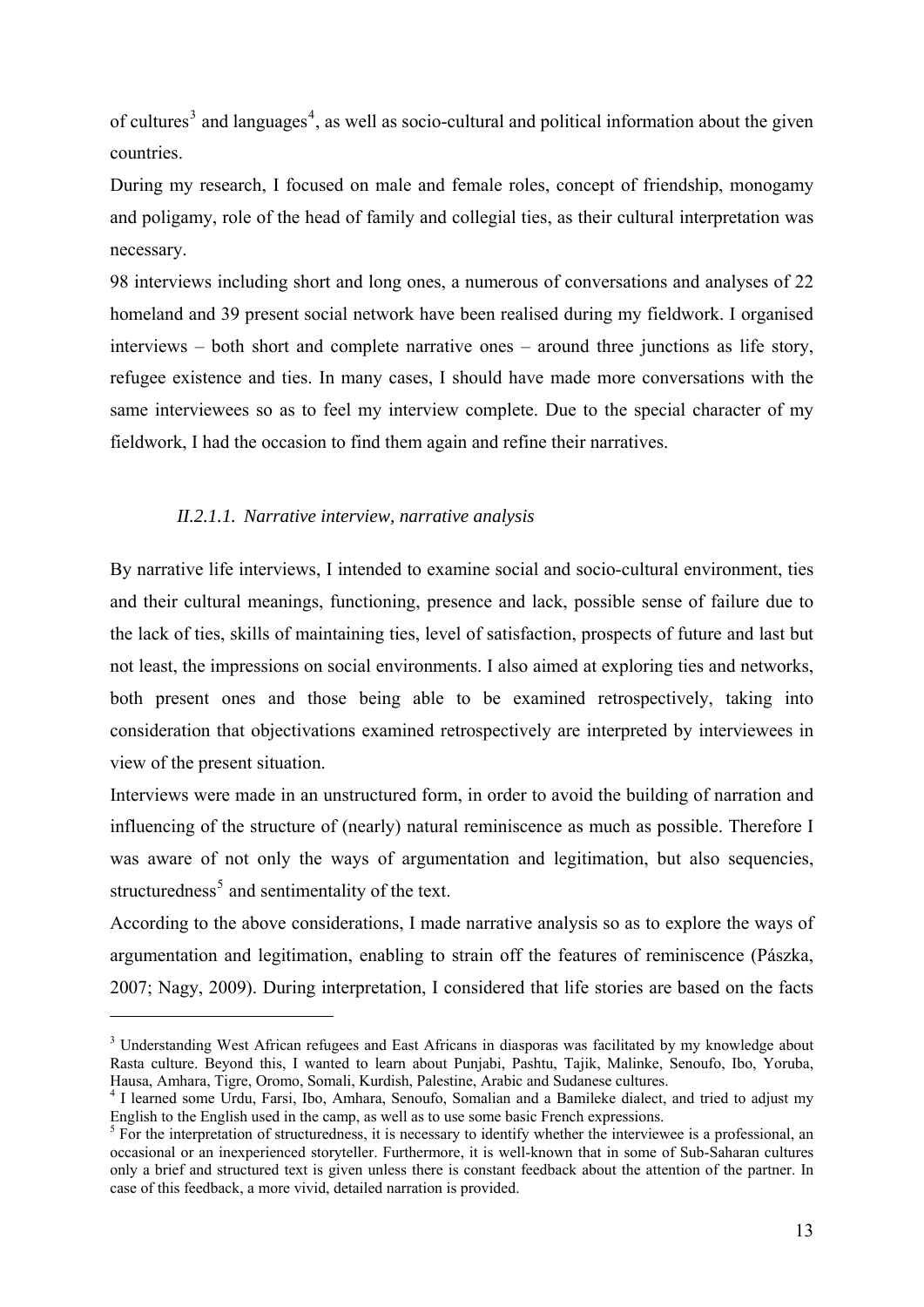of cultures<sup>[3](#page-12-0)</sup> and languages<sup>[4](#page-12-1)</sup>, as well as socio-cultural and political information about the given countries.

During my research, I focused on male and female roles, concept of friendship, monogamy and poligamy, role of the head of family and collegial ties, as their cultural interpretation was necessary.

98 interviews including short and long ones, a numerous of conversations and analyses of 22 homeland and 39 present social network have been realised during my fieldwork. I organised interviews – both short and complete narrative ones – around three junctions as life story, refugee existence and ties. In many cases, I should have made more conversations with the same interviewees so as to feel my interview complete. Due to the special character of my fieldwork, I had the occasion to find them again and refine their narratives.

#### *II.2.1.1. Narrative interview, narrative analysis*

<u>.</u>

By narrative life interviews, I intended to examine social and socio-cultural environment, ties and their cultural meanings, functioning, presence and lack, possible sense of failure due to the lack of ties, skills of maintaining ties, level of satisfaction, prospects of future and last but not least, the impressions on social environments. I also aimed at exploring ties and networks, both present ones and those being able to be examined retrospectively, taking into consideration that objectivations examined retrospectively are interpreted by interviewees in view of the present situation.

Interviews were made in an unstructured form, in order to avoid the building of narration and influencing of the structure of (nearly) natural reminiscence as much as possible. Therefore I was aware of not only the ways of argumentation and legitimation, but also sequencies, structuredness<sup>[5](#page-12-2)</sup> and sentimentality of the text.

According to the above considerations, I made narrative analysis so as to explore the ways of argumentation and legitimation, enabling to strain off the features of reminiscence (Pászka, 2007; Nagy, 2009). During interpretation, I considered that life stories are based on the facts

<span id="page-12-0"></span><sup>&</sup>lt;sup>3</sup> Understanding West African refugees and East Africans in diasporas was facilitated by my knowledge about Rasta culture. Beyond this, I wanted to learn about Punjabi, Pashtu, Tajik, Malinke, Senoufo, Ibo, Yoruba, Hausa, Amhara, Tigre, Oromo, Somali, Kurdish, Palestine, Arabic and Sudanese cultures. 4

<span id="page-12-1"></span><sup>&</sup>lt;sup>4</sup> I learned some Urdu, Farsi, Ibo, Amhara, Senoufo, Somalian and a Bamileke dialect, and tried to adjust my English to the English used in the camp, as well as to use some basic French expressions.

<span id="page-12-2"></span> $<sup>5</sup>$  For the interpretation of structuredness, it is necessary to identify whether the interviewee is a professional, an</sup> occasional or an inexperienced storyteller. Furthermore, it is well-known that in some of Sub-Saharan cultures only a brief and structured text is given unless there is constant feedback about the attention of the partner. In case of this feedback, a more vivid, detailed narration is provided.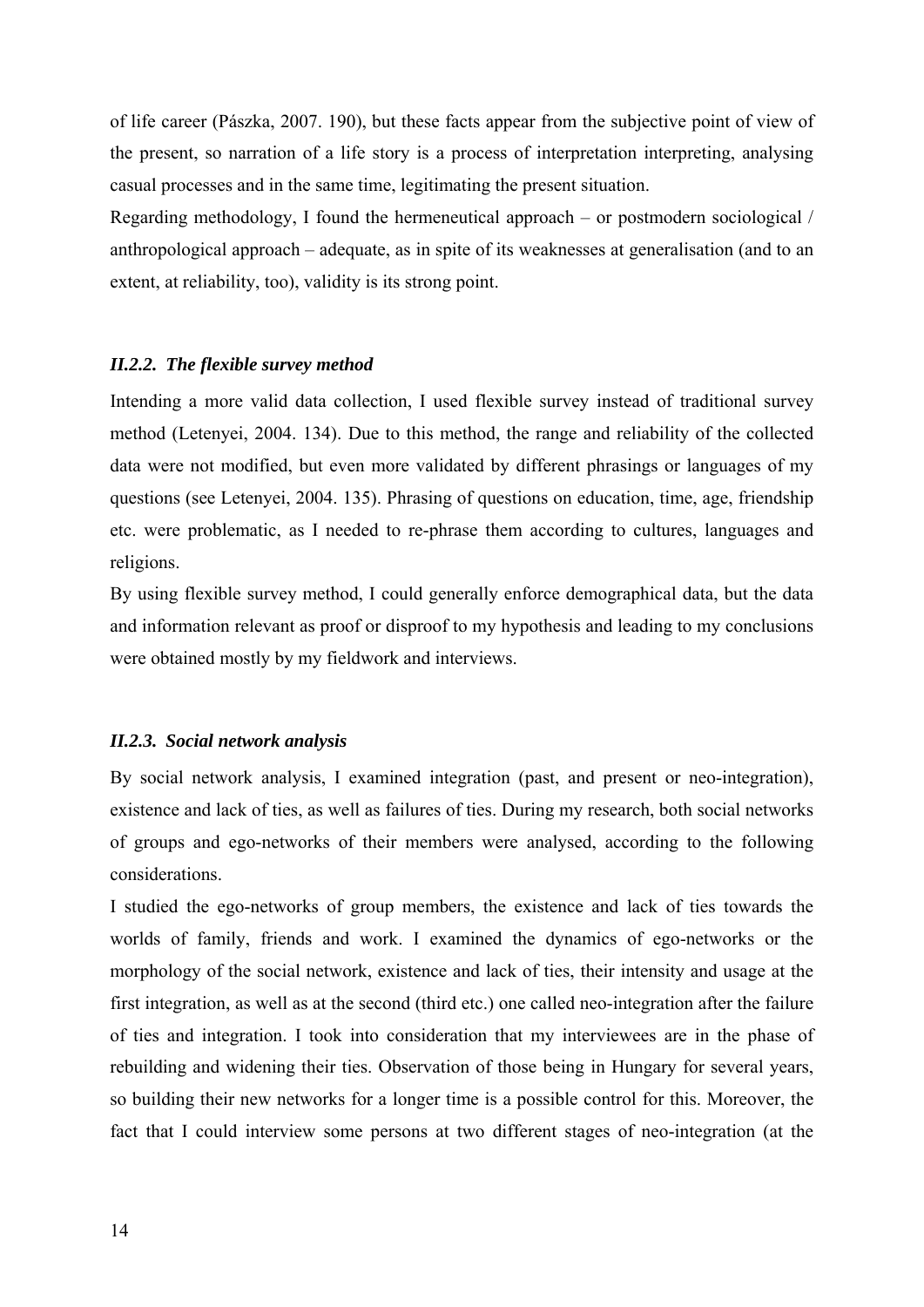<span id="page-13-0"></span>of life career (Pászka, 2007. 190), but these facts appear from the subjective point of view of the present, so narration of a life story is a process of interpretation interpreting, analysing casual processes and in the same time, legitimating the present situation.

Regarding methodology, I found the hermeneutical approach – or postmodern sociological / anthropological approach – adequate, as in spite of its weaknesses at generalisation (and to an extent, at reliability, too), validity is its strong point.

#### *II.2.2. The flexible survey method*

Intending a more valid data collection, I used flexible survey instead of traditional survey method (Letenyei, 2004. 134). Due to this method, the range and reliability of the collected data were not modified, but even more validated by different phrasings or languages of my questions (see Letenyei, 2004. 135). Phrasing of questions on education, time, age, friendship etc. were problematic, as I needed to re-phrase them according to cultures, languages and religions.

By using flexible survey method, I could generally enforce demographical data, but the data and information relevant as proof or disproof to my hypothesis and leading to my conclusions were obtained mostly by my fieldwork and interviews.

#### *II.2.3. Social network analysis*

By social network analysis, I examined integration (past, and present or neo-integration), existence and lack of ties, as well as failures of ties. During my research, both social networks of groups and ego-networks of their members were analysed, according to the following considerations.

I studied the ego-networks of group members, the existence and lack of ties towards the worlds of family, friends and work. I examined the dynamics of ego-networks or the morphology of the social network, existence and lack of ties, their intensity and usage at the first integration, as well as at the second (third etc.) one called neo-integration after the failure of ties and integration. I took into consideration that my interviewees are in the phase of rebuilding and widening their ties. Observation of those being in Hungary for several years, so building their new networks for a longer time is a possible control for this. Moreover, the fact that I could interview some persons at two different stages of neo-integration (at the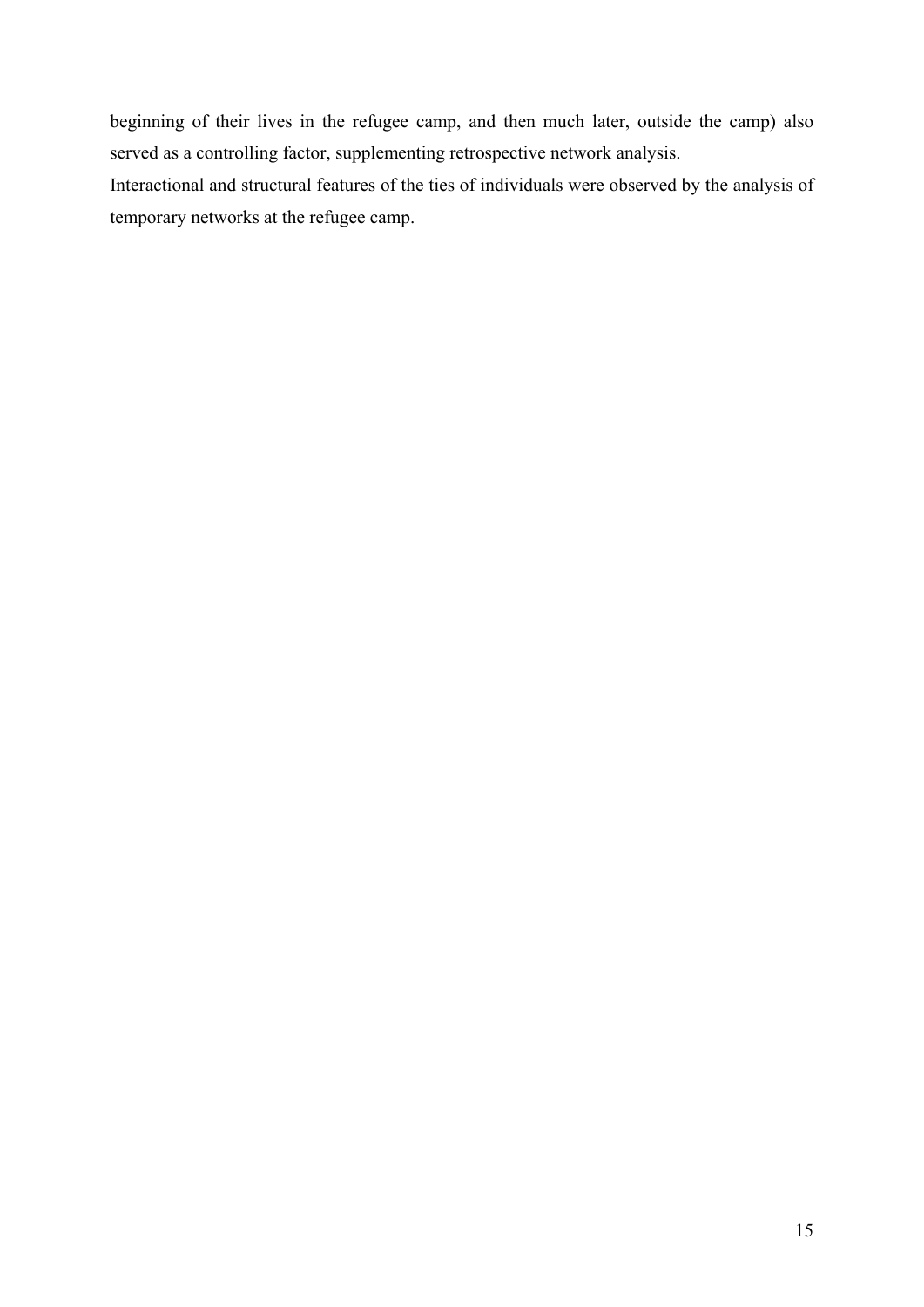beginning of their lives in the refugee camp, and then much later, outside the camp) also served as a controlling factor, supplementing retrospective network analysis.

Interactional and structural features of the ties of individuals were observed by the analysis of temporary networks at the refugee camp.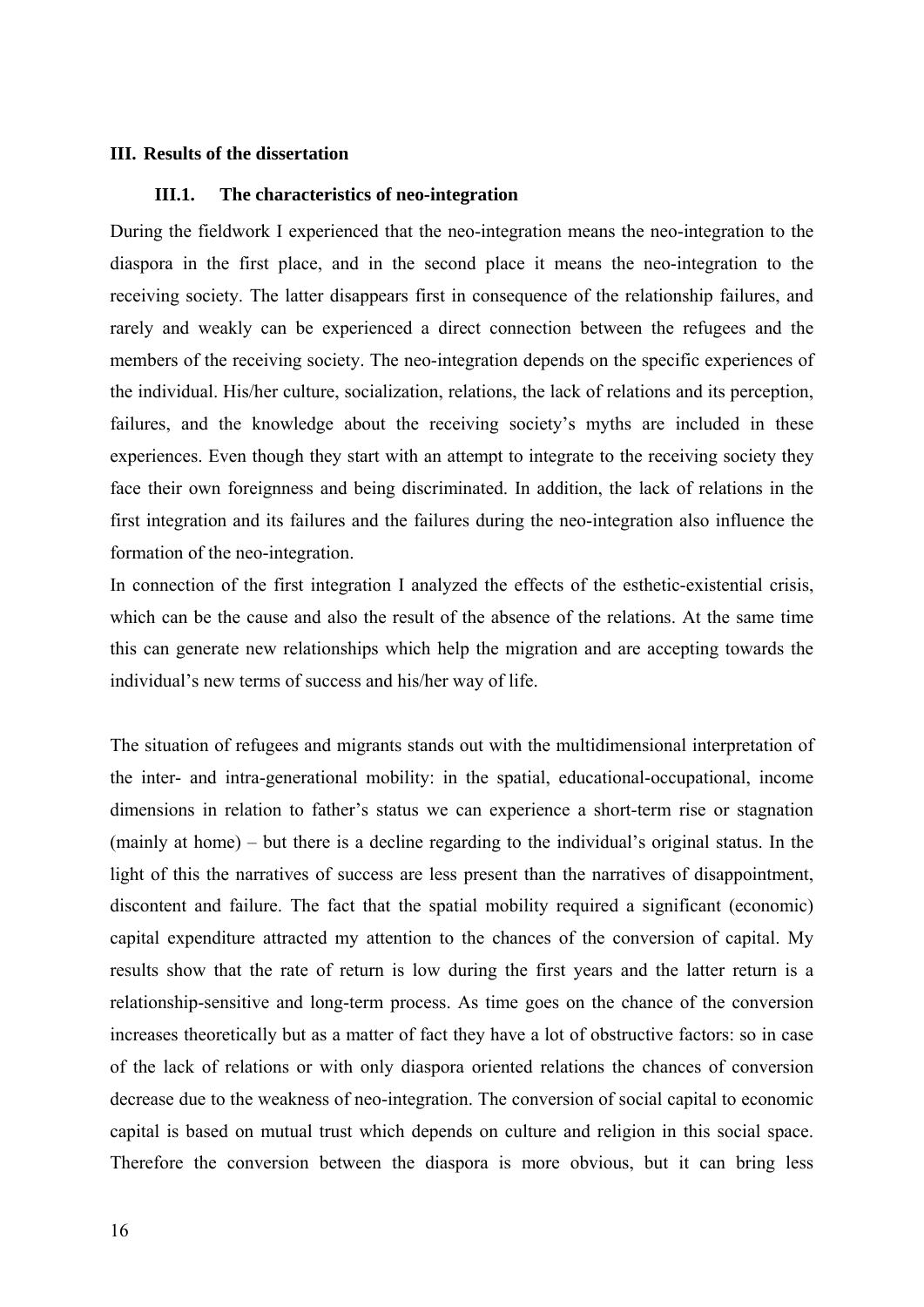#### <span id="page-15-0"></span>**III. Results of the dissertation**

### **III.1. The characteristics of neo-integration**

During the fieldwork I experienced that the neo-integration means the neo-integration to the diaspora in the first place, and in the second place it means the neo-integration to the receiving society. The latter disappears first in consequence of the relationship failures, and rarely and weakly can be experienced a direct connection between the refugees and the members of the receiving society. The neo-integration depends on the specific experiences of the individual. His/her culture, socialization, relations, the lack of relations and its perception, failures, and the knowledge about the receiving society's myths are included in these experiences. Even though they start with an attempt to integrate to the receiving society they face their own foreignness and being discriminated. In addition, the lack of relations in the first integration and its failures and the failures during the neo-integration also influence the formation of the neo-integration.

In connection of the first integration I analyzed the effects of the esthetic-existential crisis, which can be the cause and also the result of the absence of the relations. At the same time this can generate new relationships which help the migration and are accepting towards the individual's new terms of success and his/her way of life.

The situation of refugees and migrants stands out with the multidimensional interpretation of the inter- and intra-generational mobility: in the spatial, educational-occupational, income dimensions in relation to father's status we can experience a short-term rise or stagnation (mainly at home) – but there is a decline regarding to the individual's original status. In the light of this the narratives of success are less present than the narratives of disappointment, discontent and failure. The fact that the spatial mobility required a significant (economic) capital expenditure attracted my attention to the chances of the conversion of capital. My results show that the rate of return is low during the first years and the latter return is a relationship-sensitive and long-term process. As time goes on the chance of the conversion increases theoretically but as a matter of fact they have a lot of obstructive factors: so in case of the lack of relations or with only diaspora oriented relations the chances of conversion decrease due to the weakness of neo-integration. The conversion of social capital to economic capital is based on mutual trust which depends on culture and religion in this social space. Therefore the conversion between the diaspora is more obvious, but it can bring less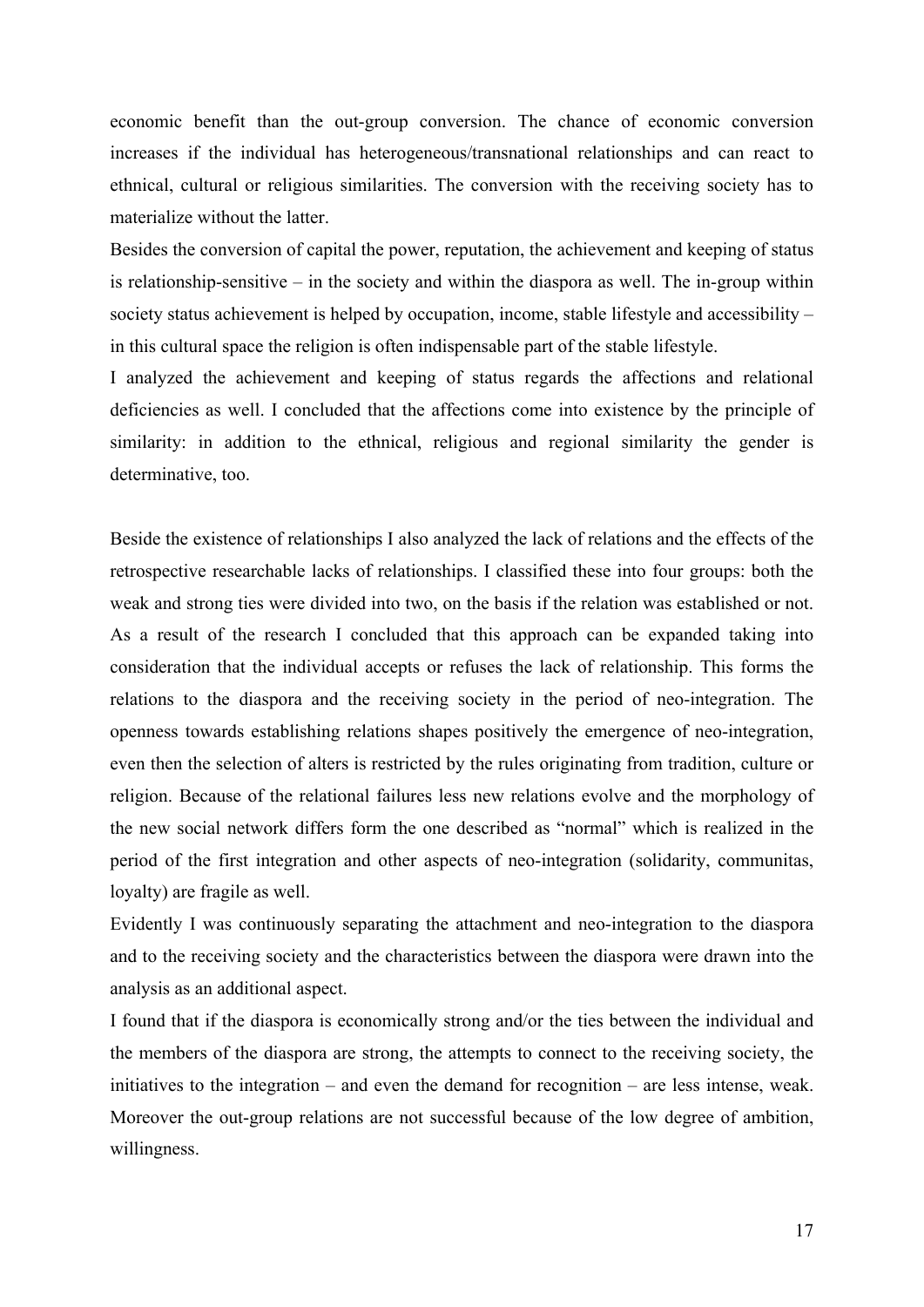economic benefit than the out-group conversion. The chance of economic conversion increases if the individual has heterogeneous/transnational relationships and can react to ethnical, cultural or religious similarities. The conversion with the receiving society has to materialize without the latter.

Besides the conversion of capital the power, reputation, the achievement and keeping of status is relationship-sensitive – in the society and within the diaspora as well. The in-group within society status achievement is helped by occupation, income, stable lifestyle and accessibility – in this cultural space the religion is often indispensable part of the stable lifestyle.

I analyzed the achievement and keeping of status regards the affections and relational deficiencies as well. I concluded that the affections come into existence by the principle of similarity: in addition to the ethnical, religious and regional similarity the gender is determinative, too.

Beside the existence of relationships I also analyzed the lack of relations and the effects of the retrospective researchable lacks of relationships. I classified these into four groups: both the weak and strong ties were divided into two, on the basis if the relation was established or not. As a result of the research I concluded that this approach can be expanded taking into consideration that the individual accepts or refuses the lack of relationship. This forms the relations to the diaspora and the receiving society in the period of neo-integration. The openness towards establishing relations shapes positively the emergence of neo-integration, even then the selection of alters is restricted by the rules originating from tradition, culture or religion. Because of the relational failures less new relations evolve and the morphology of the new social network differs form the one described as "normal" which is realized in the period of the first integration and other aspects of neo-integration (solidarity, communitas, loyalty) are fragile as well.

Evidently I was continuously separating the attachment and neo-integration to the diaspora and to the receiving society and the characteristics between the diaspora were drawn into the analysis as an additional aspect.

I found that if the diaspora is economically strong and/or the ties between the individual and the members of the diaspora are strong, the attempts to connect to the receiving society, the initiatives to the integration – and even the demand for recognition – are less intense, weak. Moreover the out-group relations are not successful because of the low degree of ambition, willingness.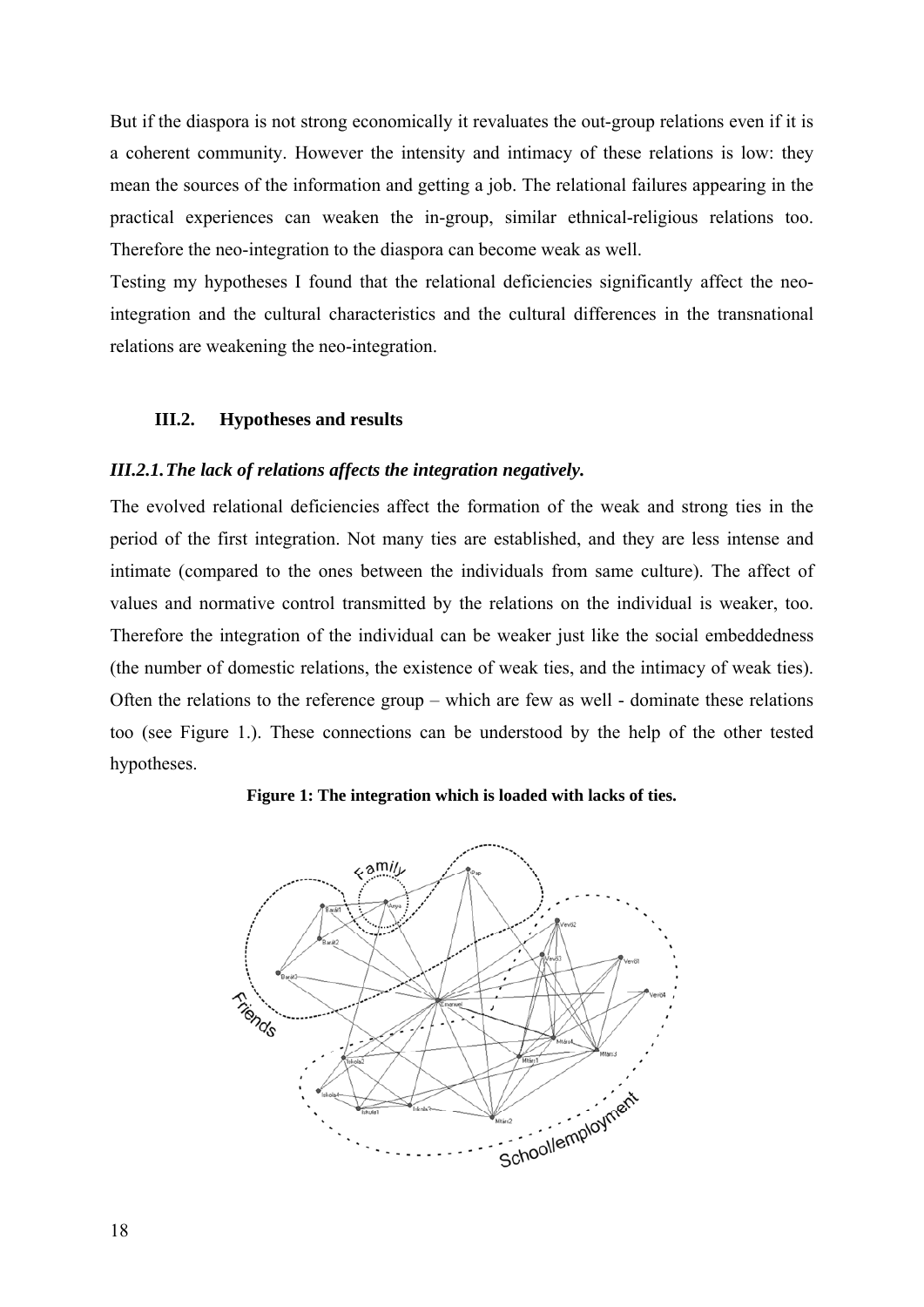<span id="page-17-0"></span>But if the diaspora is not strong economically it revaluates the out-group relations even if it is a coherent community. However the intensity and intimacy of these relations is low: they mean the sources of the information and getting a job. The relational failures appearing in the practical experiences can weaken the in-group, similar ethnical-religious relations too. Therefore the neo-integration to the diaspora can become weak as well.

Testing my hypotheses I found that the relational deficiencies significantly affect the neointegration and the cultural characteristics and the cultural differences in the transnational relations are weakening the neo-integration.

### **III.2. Hypotheses and results**

#### *III.2.1.The lack of relations affects the integration negatively.*

The evolved relational deficiencies affect the formation of the weak and strong ties in the period of the first integration. Not many ties are established, and they are less intense and intimate (compared to the ones between the individuals from same culture). The affect of values and normative control transmitted by the relations on the individual is weaker, too. Therefore the integration of the individual can be weaker just like the social embeddedness (the number of domestic relations, the existence of weak ties, and the intimacy of weak ties). Often the relations to the reference group – which are few as well - dominate these relations too (see Figure 1.). These connections can be understood by the help of the other tested hypotheses.



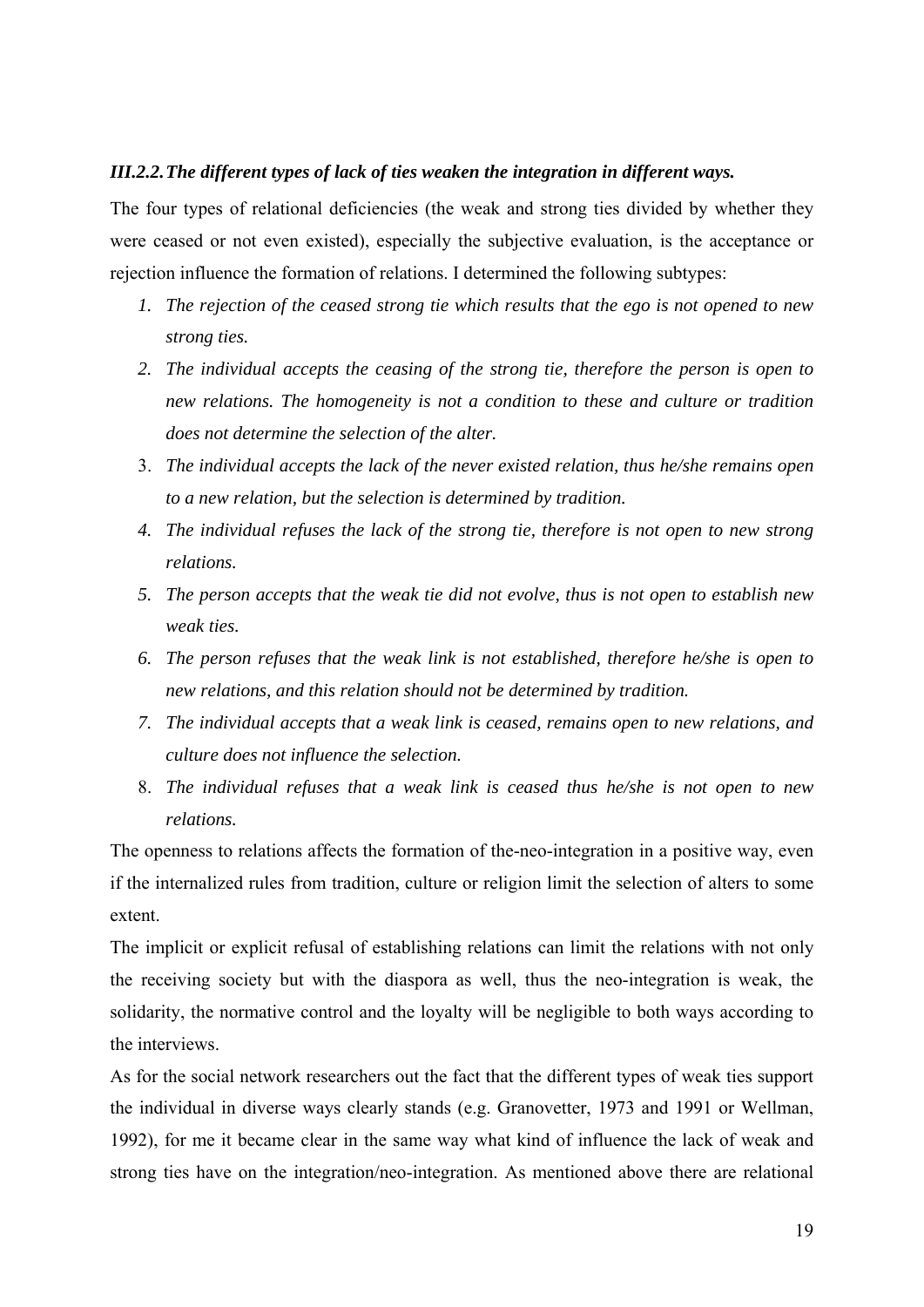#### <span id="page-18-0"></span>*III.2.2.The different types of lack of ties weaken the integration in different ways.*

The four types of relational deficiencies (the weak and strong ties divided by whether they were ceased or not even existed), especially the subjective evaluation, is the acceptance or rejection influence the formation of relations. I determined the following subtypes:

- *1. The rejection of the ceased strong tie which results that the ego is not opened to new strong ties.*
- *2. The individual accepts the ceasing of the strong tie, therefore the person is open to new relations. The homogeneity is not a condition to these and culture or tradition does not determine the selection of the alter.*
- 3. *The individual accepts the lack of the never existed relation, thus he/she remains open to a new relation, but the selection is determined by tradition.*
- *4. The individual refuses the lack of the strong tie, therefore is not open to new strong relations.*
- *5. The person accepts that the weak tie did not evolve, thus is not open to establish new weak ties.*
- *6. The person refuses that the weak link is not established, therefore he/she is open to new relations, and this relation should not be determined by tradition.*
- *7. The individual accepts that a weak link is ceased, remains open to new relations, and culture does not influence the selection.*
- 8. *The individual refuses that a weak link is ceased thus he/she is not open to new relations.*

The openness to relations affects the formation of the-neo-integration in a positive way, even if the internalized rules from tradition, culture or religion limit the selection of alters to some extent.

The implicit or explicit refusal of establishing relations can limit the relations with not only the receiving society but with the diaspora as well, thus the neo-integration is weak, the solidarity, the normative control and the loyalty will be negligible to both ways according to the interviews.

As for the social network researchers out the fact that the different types of weak ties support the individual in diverse ways clearly stands (e.g. Granovetter, 1973 and 1991 or Wellman, 1992), for me it became clear in the same way what kind of influence the lack of weak and strong ties have on the integration/neo-integration. As mentioned above there are relational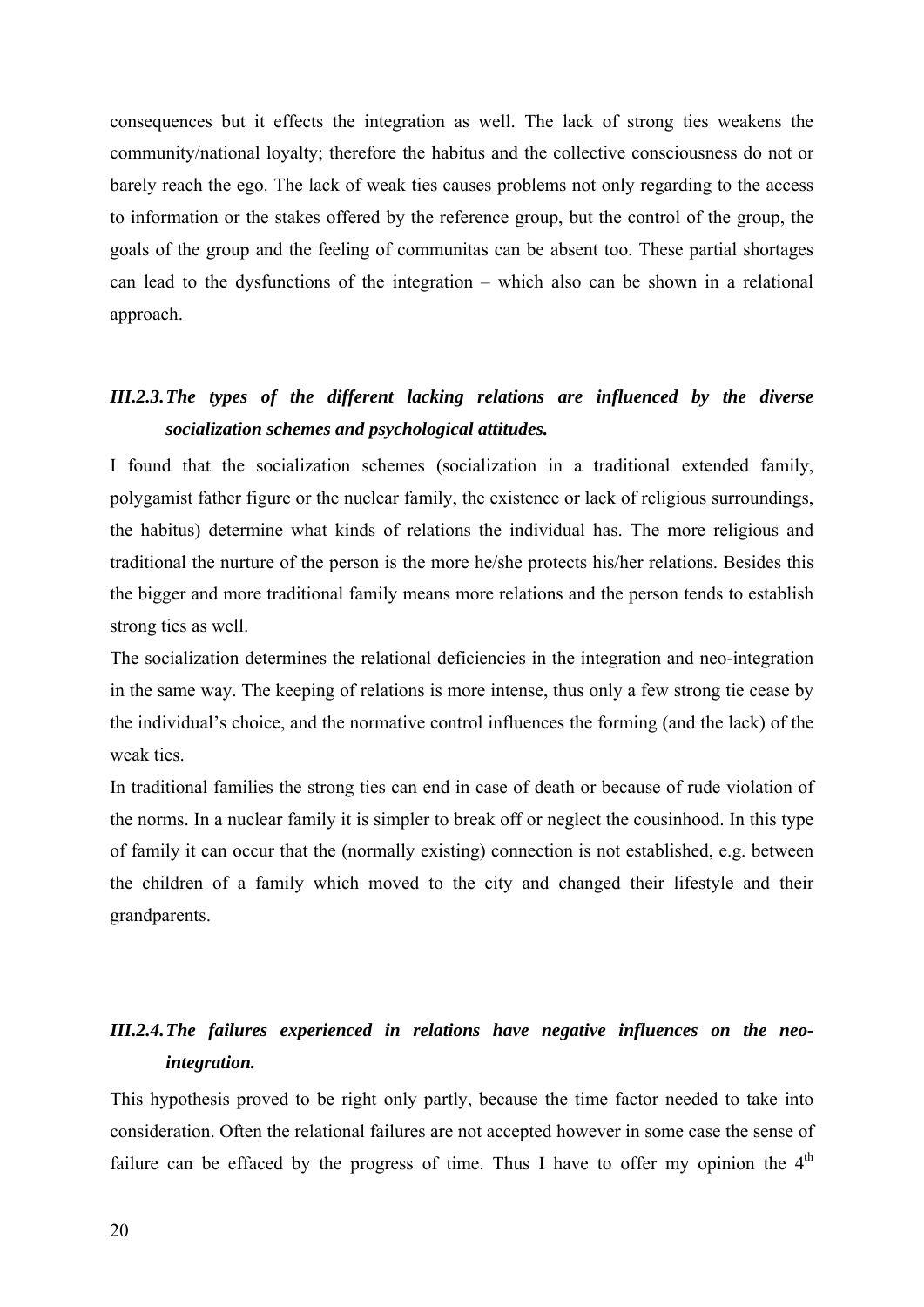<span id="page-19-0"></span>consequences but it effects the integration as well. The lack of strong ties weakens the community/national loyalty; therefore the habitus and the collective consciousness do not or barely reach the ego. The lack of weak ties causes problems not only regarding to the access to information or the stakes offered by the reference group, but the control of the group, the goals of the group and the feeling of communitas can be absent too. These partial shortages can lead to the dysfunctions of the integration – which also can be shown in a relational approach.

# *III.2.3.The types of the different lacking relations are influenced by the diverse socialization schemes and psychological attitudes.*

I found that the socialization schemes (socialization in a traditional extended family, polygamist father figure or the nuclear family, the existence or lack of religious surroundings, the habitus) determine what kinds of relations the individual has. The more religious and traditional the nurture of the person is the more he/she protects his/her relations. Besides this the bigger and more traditional family means more relations and the person tends to establish strong ties as well.

The socialization determines the relational deficiencies in the integration and neo-integration in the same way. The keeping of relations is more intense, thus only a few strong tie cease by the individual's choice, and the normative control influences the forming (and the lack) of the weak ties.

In traditional families the strong ties can end in case of death or because of rude violation of the norms. In a nuclear family it is simpler to break off or neglect the cousinhood. In this type of family it can occur that the (normally existing) connection is not established, e.g. between the children of a family which moved to the city and changed their lifestyle and their grandparents.

# *III.2.4.The failures experienced in relations have negative influences on the neointegration.*

This hypothesis proved to be right only partly, because the time factor needed to take into consideration. Often the relational failures are not accepted however in some case the sense of failure can be effaced by the progress of time. Thus I have to offer my opinion the  $4<sup>th</sup>$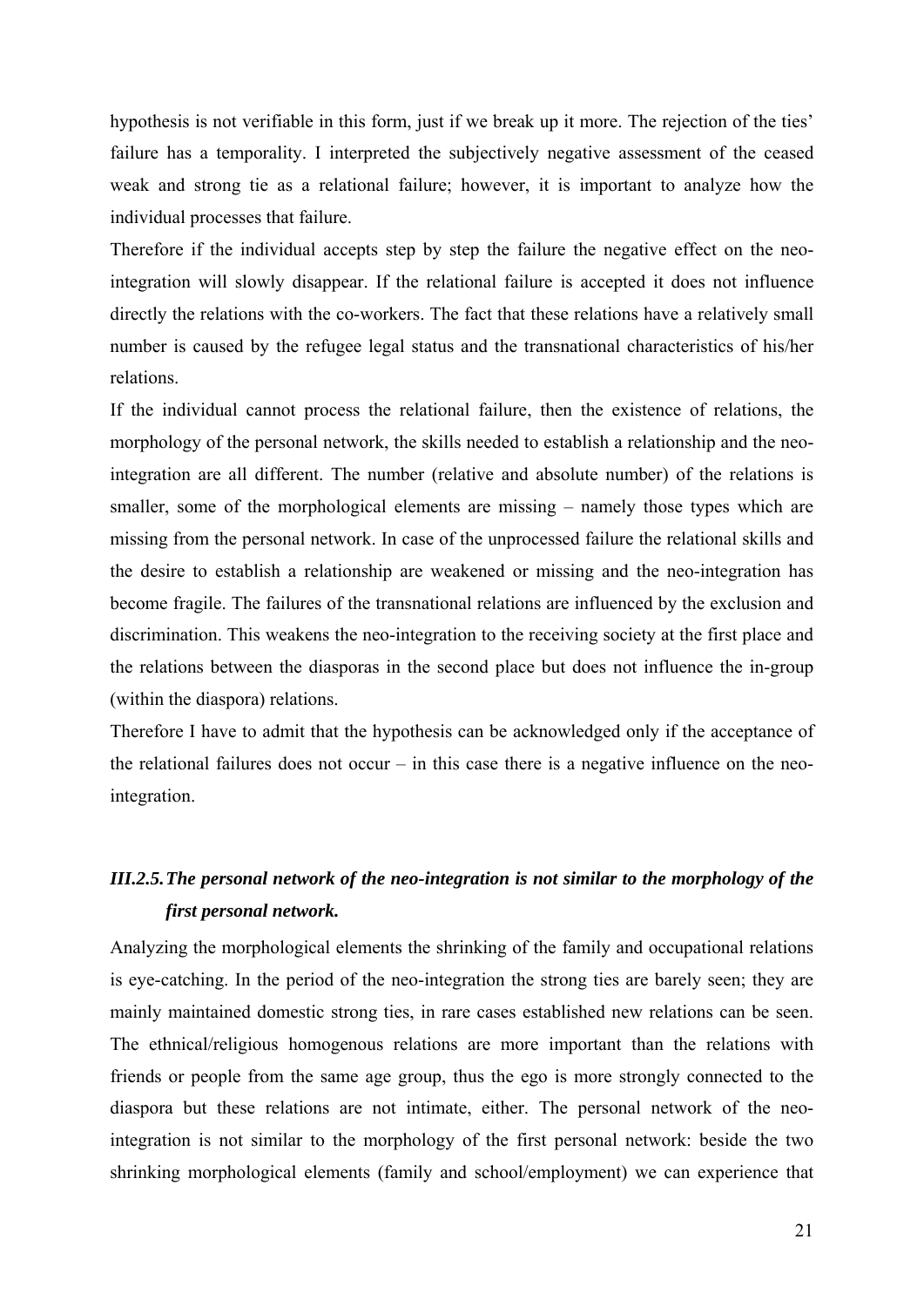<span id="page-20-0"></span>hypothesis is not verifiable in this form, just if we break up it more. The rejection of the ties' failure has a temporality. I interpreted the subjectively negative assessment of the ceased weak and strong tie as a relational failure; however, it is important to analyze how the individual processes that failure.

Therefore if the individual accepts step by step the failure the negative effect on the neointegration will slowly disappear. If the relational failure is accepted it does not influence directly the relations with the co-workers. The fact that these relations have a relatively small number is caused by the refugee legal status and the transnational characteristics of his/her relations.

If the individual cannot process the relational failure, then the existence of relations, the morphology of the personal network, the skills needed to establish a relationship and the neointegration are all different. The number (relative and absolute number) of the relations is smaller, some of the morphological elements are missing – namely those types which are missing from the personal network. In case of the unprocessed failure the relational skills and the desire to establish a relationship are weakened or missing and the neo-integration has become fragile. The failures of the transnational relations are influenced by the exclusion and discrimination. This weakens the neo-integration to the receiving society at the first place and the relations between the diasporas in the second place but does not influence the in-group (within the diaspora) relations.

Therefore I have to admit that the hypothesis can be acknowledged only if the acceptance of the relational failures does not occur – in this case there is a negative influence on the neointegration.

# *III.2.5.The personal network of the neo-integration is not similar to the morphology of the first personal network.*

Analyzing the morphological elements the shrinking of the family and occupational relations is eye-catching. In the period of the neo-integration the strong ties are barely seen; they are mainly maintained domestic strong ties, in rare cases established new relations can be seen. The ethnical/religious homogenous relations are more important than the relations with friends or people from the same age group, thus the ego is more strongly connected to the diaspora but these relations are not intimate, either. The personal network of the neointegration is not similar to the morphology of the first personal network: beside the two shrinking morphological elements (family and school/employment) we can experience that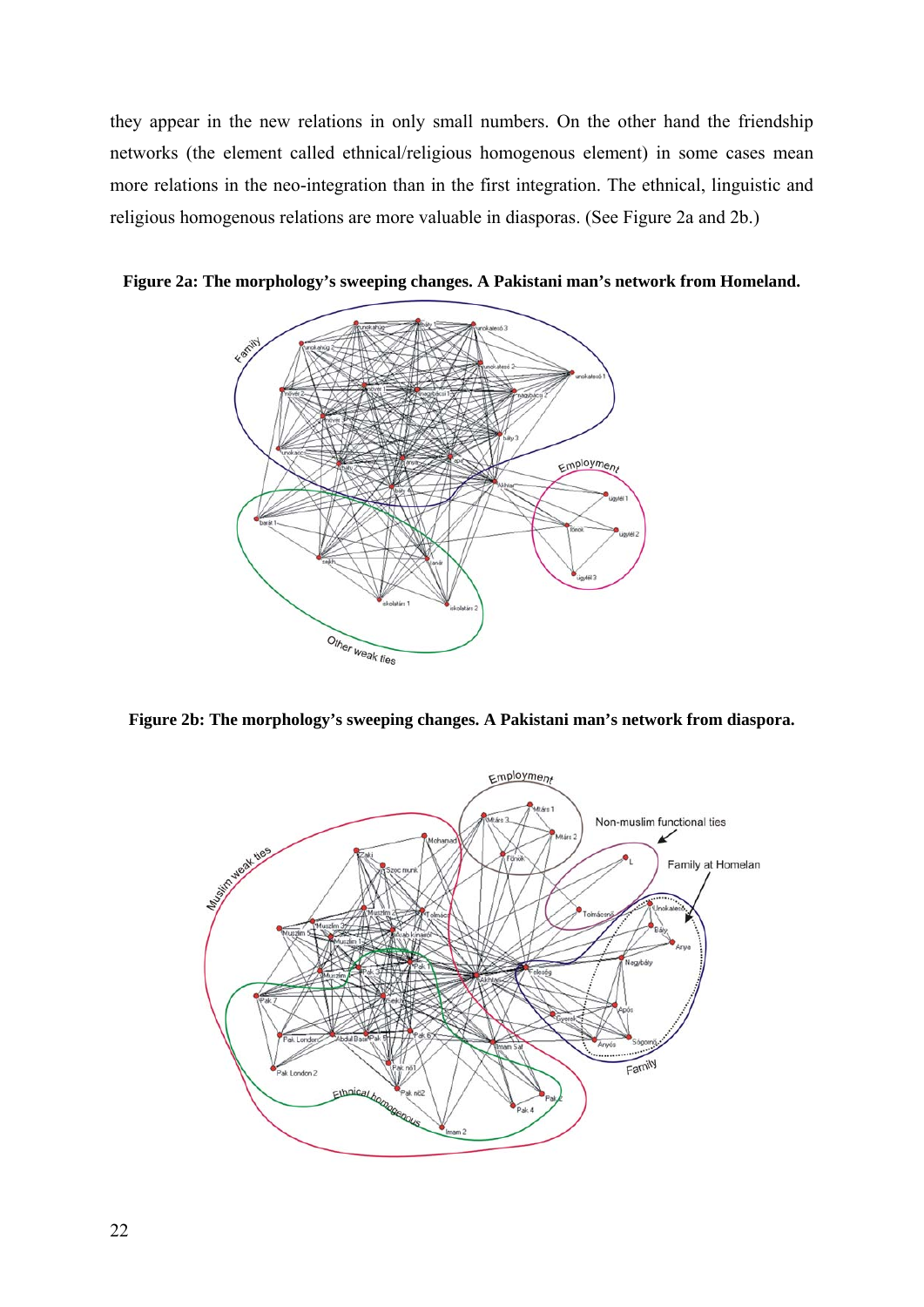they appear in the new relations in only small numbers. On the other hand the friendship networks (the element called ethnical/religious homogenous element) in some cases mean more relations in the neo-integration than in the first integration. The ethnical, linguistic and religious homogenous relations are more valuable in diasporas. (See Figure 2a and 2b.)



**Figure 2a: The morphology's sweeping changes. A Pakistani man's network from Homeland.** 

**Figure 2b: The morphology's sweeping changes. A Pakistani man's network from diaspora.** 

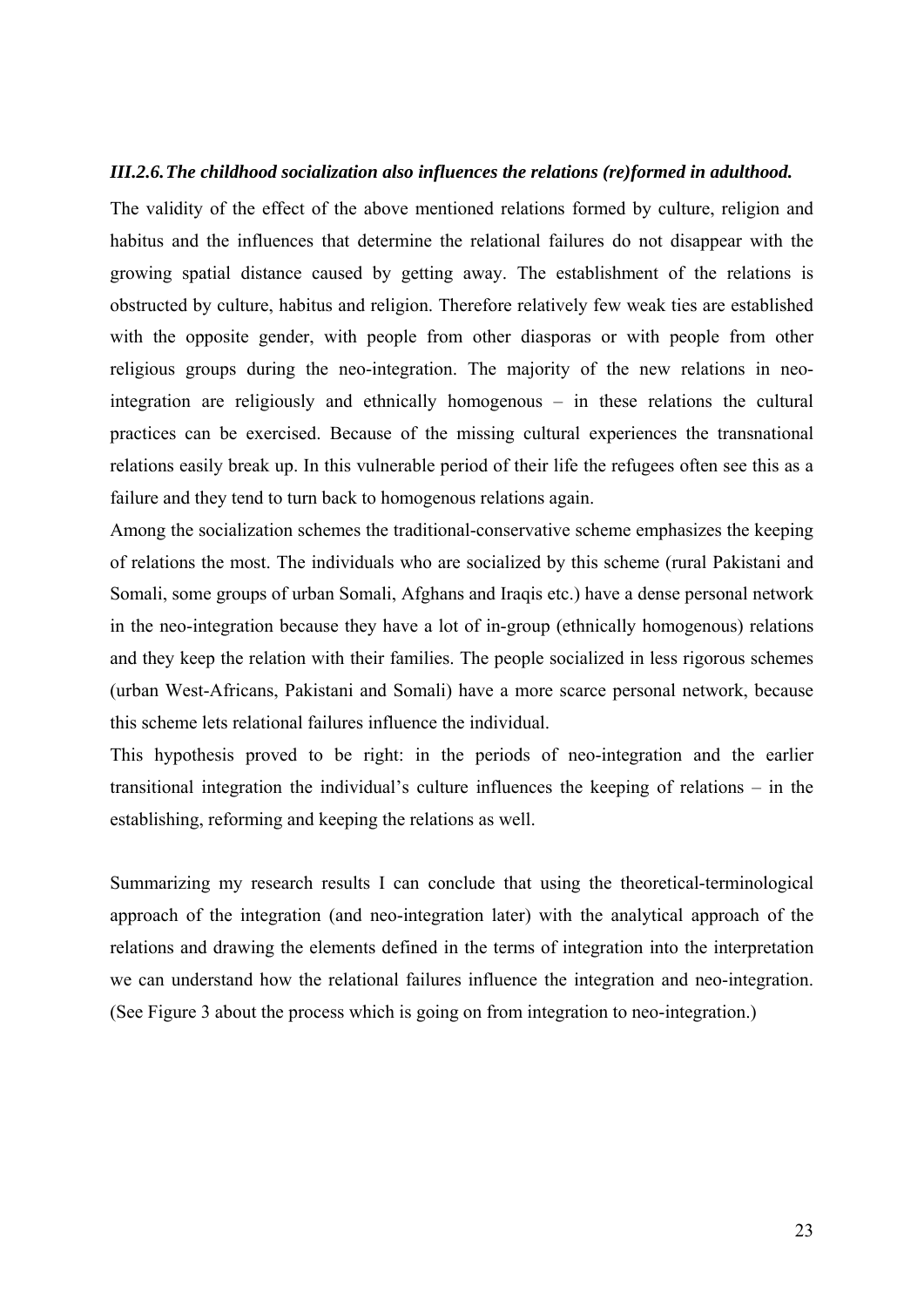#### <span id="page-22-0"></span>*III.2.6.The childhood socialization also influences the relations (re)formed in adulthood.*

The validity of the effect of the above mentioned relations formed by culture, religion and habitus and the influences that determine the relational failures do not disappear with the growing spatial distance caused by getting away. The establishment of the relations is obstructed by culture, habitus and religion. Therefore relatively few weak ties are established with the opposite gender, with people from other diasporas or with people from other religious groups during the neo-integration. The majority of the new relations in neointegration are religiously and ethnically homogenous – in these relations the cultural practices can be exercised. Because of the missing cultural experiences the transnational relations easily break up. In this vulnerable period of their life the refugees often see this as a failure and they tend to turn back to homogenous relations again.

Among the socialization schemes the traditional-conservative scheme emphasizes the keeping of relations the most. The individuals who are socialized by this scheme (rural Pakistani and Somali, some groups of urban Somali, Afghans and Iraqis etc.) have a dense personal network in the neo-integration because they have a lot of in-group (ethnically homogenous) relations and they keep the relation with their families. The people socialized in less rigorous schemes (urban West-Africans, Pakistani and Somali) have a more scarce personal network, because this scheme lets relational failures influence the individual.

This hypothesis proved to be right: in the periods of neo-integration and the earlier transitional integration the individual's culture influences the keeping of relations – in the establishing, reforming and keeping the relations as well.

Summarizing my research results I can conclude that using the theoretical-terminological approach of the integration (and neo-integration later) with the analytical approach of the relations and drawing the elements defined in the terms of integration into the interpretation we can understand how the relational failures influence the integration and neo-integration. (See Figure 3 about the process which is going on from integration to neo-integration.)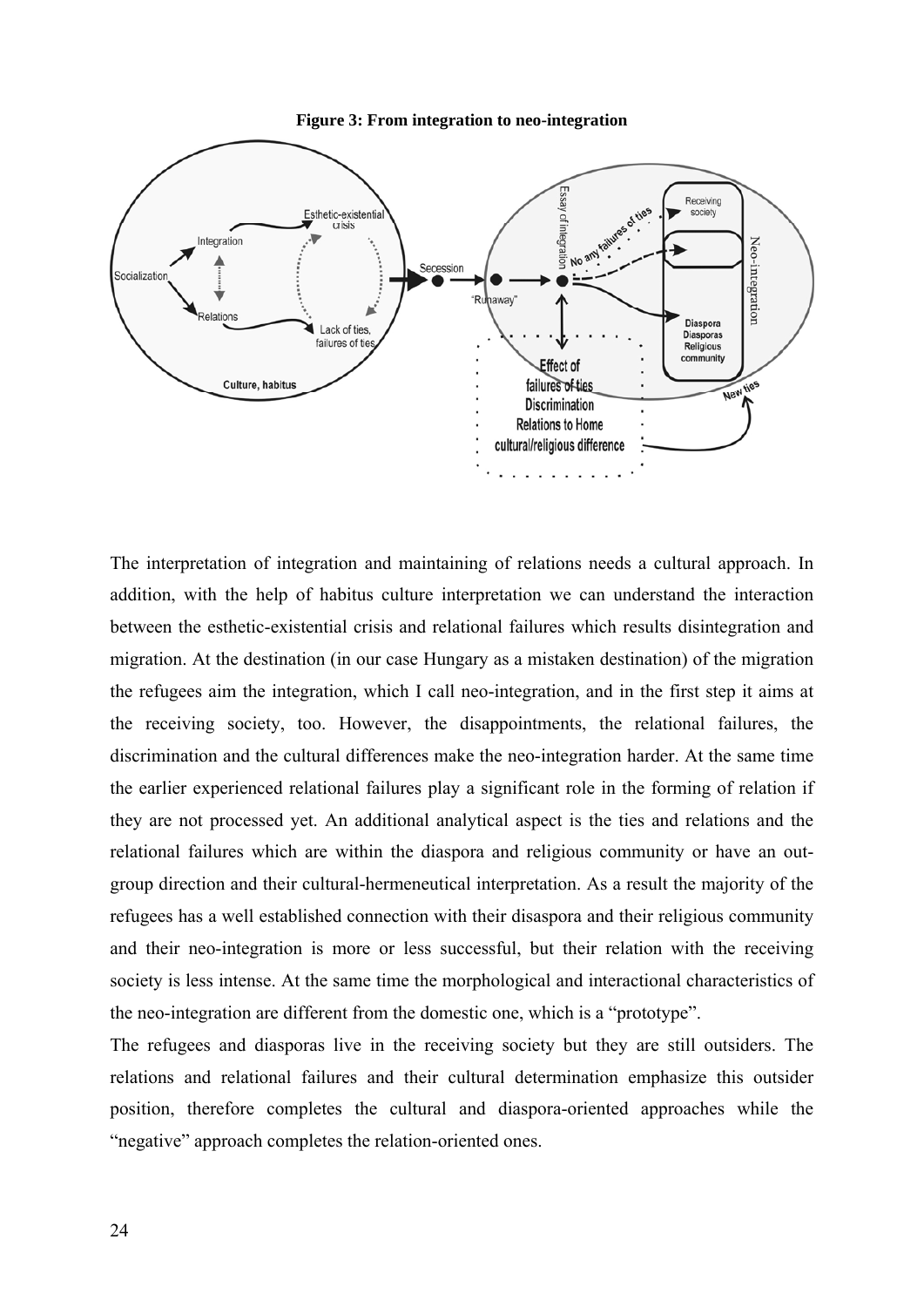



The interpretation of integration and maintaining of relations needs a cultural approach. In addition, with the help of habitus culture interpretation we can understand the interaction between the esthetic-existential crisis and relational failures which results disintegration and migration. At the destination (in our case Hungary as a mistaken destination) of the migration the refugees aim the integration, which I call neo-integration, and in the first step it aims at the receiving society, too. However, the disappointments, the relational failures, the discrimination and the cultural differences make the neo-integration harder. At the same time the earlier experienced relational failures play a significant role in the forming of relation if they are not processed yet. An additional analytical aspect is the ties and relations and the relational failures which are within the diaspora and religious community or have an outgroup direction and their cultural-hermeneutical interpretation. As a result the majority of the refugees has a well established connection with their disaspora and their religious community and their neo-integration is more or less successful, but their relation with the receiving society is less intense. At the same time the morphological and interactional characteristics of the neo-integration are different from the domestic one, which is a "prototype".

The refugees and diasporas live in the receiving society but they are still outsiders. The relations and relational failures and their cultural determination emphasize this outsider position, therefore completes the cultural and diaspora-oriented approaches while the "negative" approach completes the relation-oriented ones.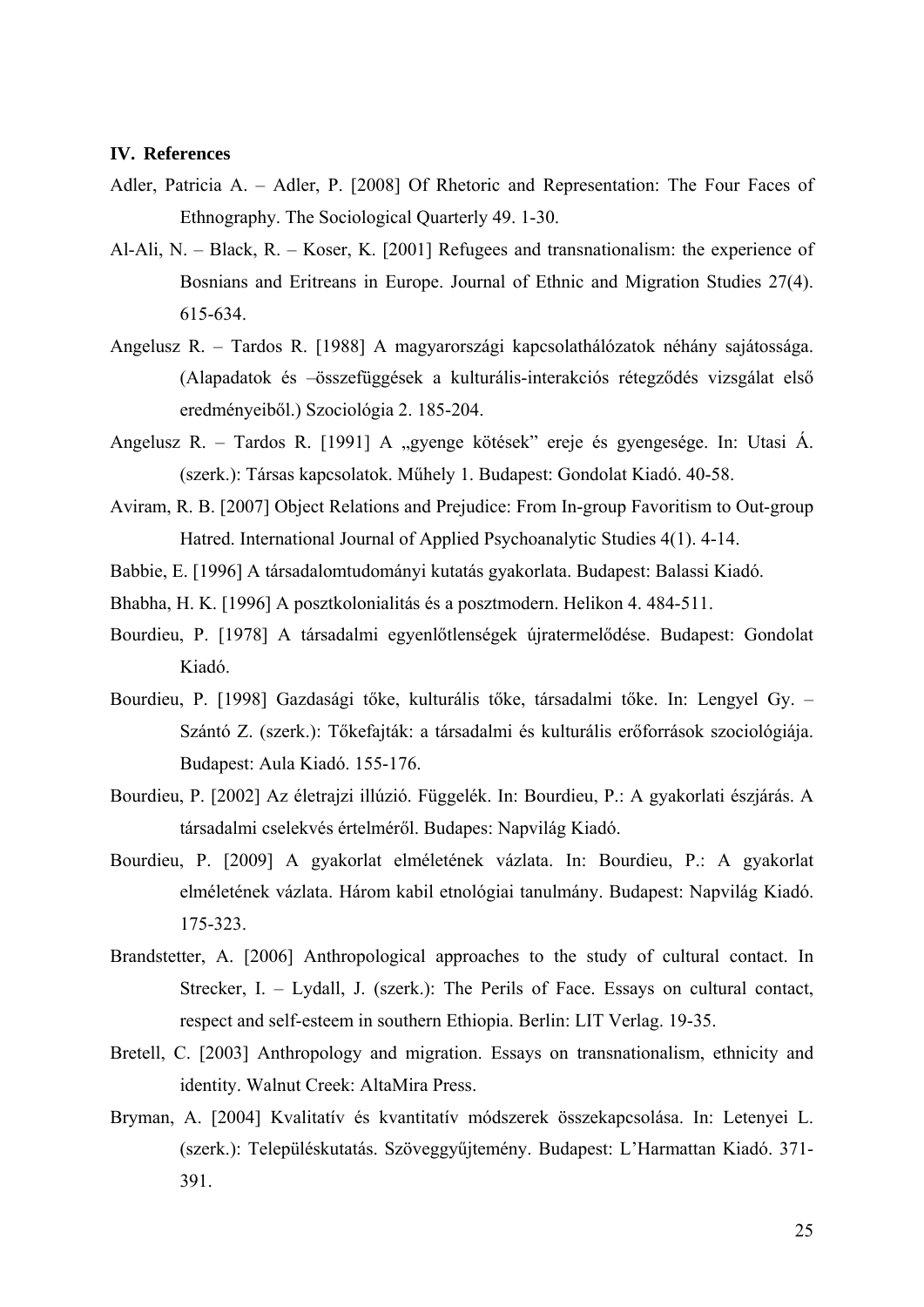#### <span id="page-24-0"></span>**IV. References**

- Adler, Patricia A. Adler, P. [2008] Of Rhetoric and Representation: The Four Faces of Ethnography. The Sociological Quarterly 49. 1-30.
- Al-Ali, N. Black, R. Koser, K. [2001] Refugees and transnationalism: the experience of Bosnians and Eritreans in Europe. Journal of Ethnic and Migration Studies 27(4). 615-634.
- Angelusz R. Tardos R. [1988] A magyarországi kapcsolathálózatok néhány sajátossága. (Alapadatok és –összefüggések a kulturális-interakciós rétegződés vizsgálat első eredményeiből.) Szociológia 2. 185-204.
- Angelusz R. Tardos R. [1991] A "gyenge kötések" ereje és gyengesége. In: Utasi Á. (szerk.): Társas kapcsolatok. Műhely 1. Budapest: Gondolat Kiadó. 40-58.
- Aviram, R. B. [2007] Object Relations and Prejudice: From In-group Favoritism to Out-group Hatred. International Journal of Applied Psychoanalytic Studies 4(1). 4-14.
- Babbie, E. [1996] A társadalomtudományi kutatás gyakorlata. Budapest: Balassi Kiadó.
- Bhabha, H. K. [1996] A posztkolonialitás és a posztmodern. Helikon 4. 484-511.
- Bourdieu, P. [1978] A társadalmi egyenlőtlenségek újratermelődése. Budapest: Gondolat Kiadó.
- Bourdieu, P. [1998] Gazdasági tőke, kulturális tőke, társadalmi tőke. In: Lengyel Gy. Szántó Z. (szerk.): Tőkefajták: a társadalmi és kulturális erőforrások szociológiája. Budapest: Aula Kiadó. 155-176.
- Bourdieu, P. [2002] Az életrajzi illúzió. Függelék. In: Bourdieu, P.: A gyakorlati észjárás. A társadalmi cselekvés értelméről. Budapes: Napvilág Kiadó.
- Bourdieu, P. [2009] A gyakorlat elméletének vázlata. In: Bourdieu, P.: A gyakorlat elméletének vázlata. Három kabil etnológiai tanulmány. Budapest: Napvilág Kiadó. 175-323.
- Brandstetter, A. [2006] Anthropological approaches to the study of cultural contact. In Strecker, I. – Lydall, J. (szerk.): The Perils of Face. Essays on cultural contact, respect and self-esteem in southern Ethiopia. Berlin: LIT Verlag. 19-35.
- Bretell, C. [2003] Anthropology and migration. Essays on transnationalism, ethnicity and identity. Walnut Creek: AltaMira Press.
- Bryman, A. [2004] Kvalitatív és kvantitatív módszerek összekapcsolása. In: Letenyei L. (szerk.): Településkutatás. Szöveggyűjtemény. Budapest: L'Harmattan Kiadó. 371- 391.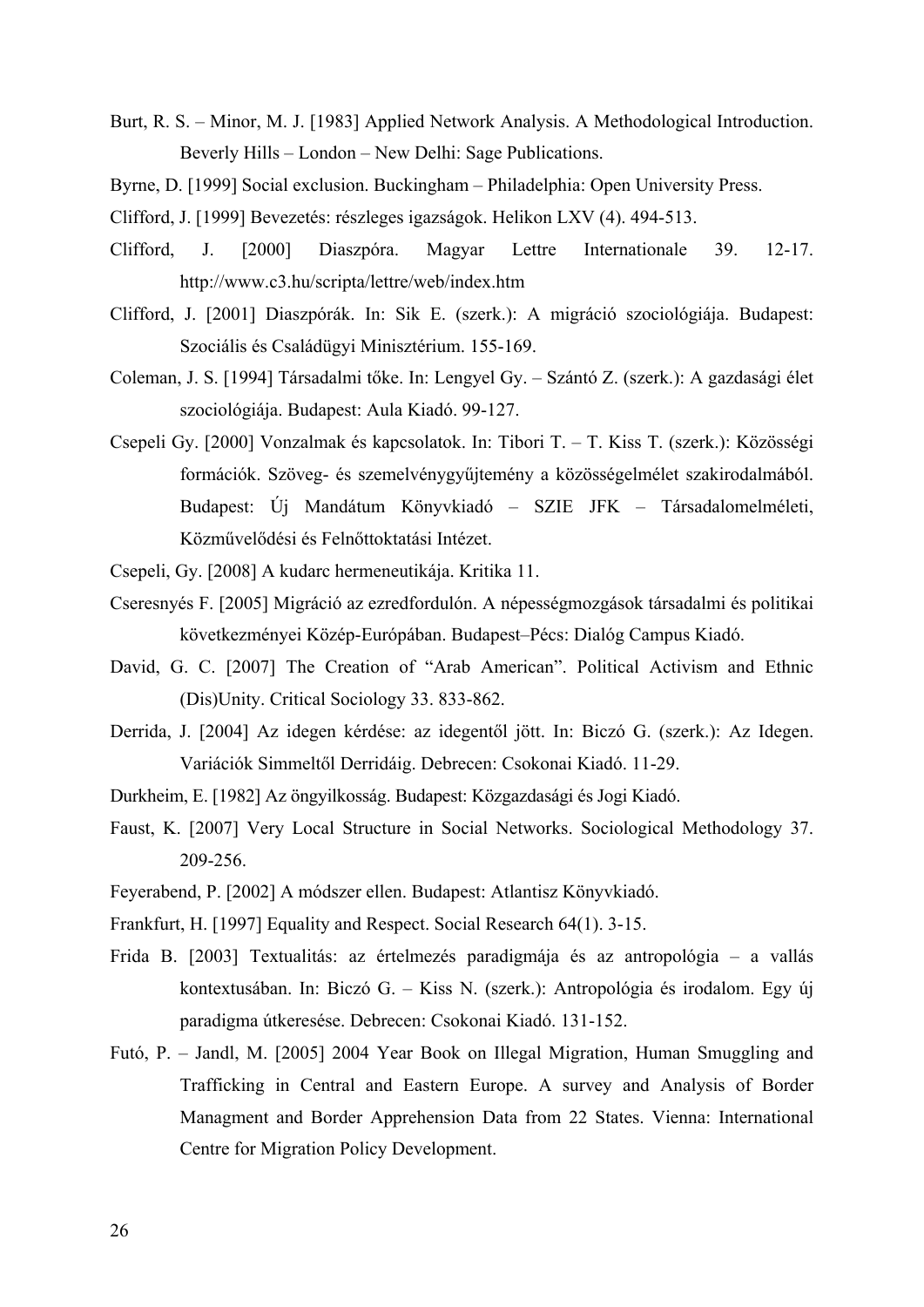- Burt, R. S. Minor, M. J. [1983] Applied Network Analysis. A Methodological Introduction. Beverly Hills – London – New Delhi: Sage Publications.
- Byrne, D. [1999] Social exclusion. Buckingham Philadelphia: Open University Press.
- Clifford, J. [1999] Bevezetés: részleges igazságok. Helikon LXV (4). 494-513.
- Clifford, J. [2000] Diaszpóra. Magyar Lettre Internationale 39. 12-17. http://www.c3.hu/scripta/lettre/web/index.htm
- Clifford, J. [2001] Diaszpórák. In: Sik E. (szerk.): A migráció szociológiája. Budapest: Szociális és Családügyi Minisztérium. 155-169.
- Coleman, J. S. [1994] Társadalmi tőke. In: Lengyel Gy. Szántó Z. (szerk.): A gazdasági élet szociológiája. Budapest: Aula Kiadó. 99-127.
- Csepeli Gy. [2000] Vonzalmak és kapcsolatok. In: Tibori T. T. Kiss T. (szerk.): Közösségi formációk. Szöveg- és szemelvénygyűjtemény a közösségelmélet szakirodalmából. Budapest: Új Mandátum Könyvkiadó – SZIE JFK – Társadalomelméleti, Közművelődési és Felnőttoktatási Intézet.
- Csepeli, Gy. [2008] A kudarc hermeneutikája. Kritika 11.
- Cseresnyés F. [2005] Migráció az ezredfordulón. A népességmozgások társadalmi és politikai következményei Közép-Európában. Budapest–Pécs: Dialóg Campus Kiadó.
- David, G. C. [2007] The Creation of "Arab American". Political Activism and Ethnic (Dis)Unity. Critical Sociology 33. 833-862.
- Derrida, J. [2004] Az idegen kérdése: az idegentől jött. In: Biczó G. (szerk.): Az Idegen. Variációk Simmeltől Derridáig. Debrecen: Csokonai Kiadó. 11-29.
- Durkheim, E. [1982] Az öngyilkosság. Budapest: Közgazdasági és Jogi Kiadó.
- Faust, K. [2007] Very Local Structure in Social Networks. Sociological Methodology 37. 209-256.
- Feyerabend, P. [2002] A módszer ellen. Budapest: Atlantisz Könyvkiadó.
- Frankfurt, H. [1997] Equality and Respect. Social Research 64(1). 3-15.
- Frida B. [2003] Textualitás: az értelmezés paradigmája és az antropológia a vallás kontextusában. In: Biczó G. – Kiss N. (szerk.): Antropológia és irodalom. Egy új paradigma útkeresése. Debrecen: Csokonai Kiadó. 131-152.
- Futó, P. Jandl, M. [2005] 2004 Year Book on Illegal Migration, Human Smuggling and Trafficking in Central and Eastern Europe. A survey and Analysis of Border Managment and Border Apprehension Data from 22 States. Vienna: International Centre for Migration Policy Development.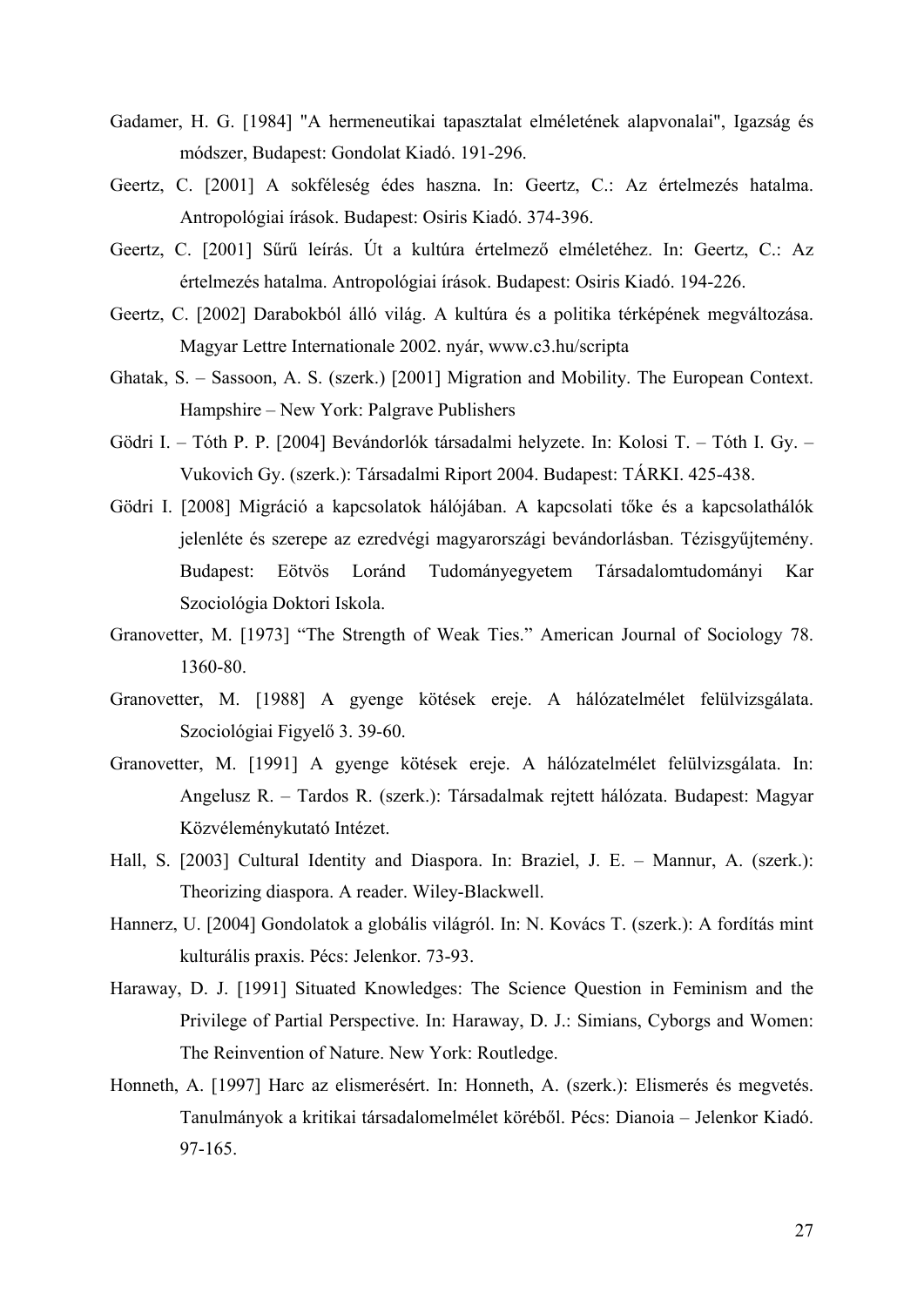- Gadamer, H. G. [1984] "A hermeneutikai tapasztalat elméletének alapvonalai", Igazság és módszer, Budapest: Gondolat Kiadó. 191-296.
- Geertz, C. [2001] A sokféleség édes haszna. In: Geertz, C.: Az értelmezés hatalma. Antropológiai írások. Budapest: Osiris Kiadó. 374-396.
- Geertz, C. [2001] Sűrű leírás. Út a kultúra értelmező elméletéhez. In: Geertz, C.: Az értelmezés hatalma. Antropológiai írások. Budapest: Osiris Kiadó. 194-226.
- Geertz, C. [2002] Darabokból álló világ. A kultúra és a politika térképének megváltozása. Magyar Lettre Internationale 2002. nyár, www.c3.hu/scripta
- Ghatak, S. Sassoon, A. S. (szerk.) [2001] Migration and Mobility. The European Context. Hampshire – New York: Palgrave Publishers
- Gödri I. Tóth P. P. [2004] Bevándorlók társadalmi helyzete. In: Kolosi T. Tóth I. Gy. Vukovich Gy. (szerk.): Társadalmi Riport 2004. Budapest: TÁRKI. 425-438.
- Gödri I. [2008] Migráció a kapcsolatok hálójában. A kapcsolati tőke és a kapcsolathálók jelenléte és szerepe az ezredvégi magyarországi bevándorlásban. Tézisgyűjtemény. Budapest: Eötvös Loránd Tudományegyetem Társadalomtudományi Kar Szociológia Doktori Iskola.
- Granovetter, M. [1973] "The Strength of Weak Ties." American Journal of Sociology 78. 1360-80.
- Granovetter, M. [1988] A gyenge kötések ereje. A hálózatelmélet felülvizsgálata. Szociológiai Figyelő 3. 39-60.
- Granovetter, M. [1991] A gyenge kötések ereje. A hálózatelmélet felülvizsgálata. In: Angelusz R. – Tardos R. (szerk.): Társadalmak rejtett hálózata. Budapest: Magyar Közvéleménykutató Intézet.
- Hall, S. [2003] Cultural Identity and Diaspora. In: Braziel, J. E. Mannur, A. (szerk.): Theorizing diaspora. A reader. Wiley-Blackwell.
- Hannerz, U. [2004] Gondolatok a globális világról. In: N. Kovács T. (szerk.): A fordítás mint kulturális praxis. Pécs: Jelenkor. 73-93.
- Haraway, D. J. [1991] Situated Knowledges: The Science Question in Feminism and the Privilege of Partial Perspective. In: Haraway, D. J.: Simians, Cyborgs and Women: The Reinvention of Nature. New York: Routledge.
- Honneth, A. [1997] Harc az elismerésért. In: Honneth, A. (szerk.): Elismerés és megvetés. Tanulmányok a kritikai társadalomelmélet köréből. Pécs: Dianoia – Jelenkor Kiadó. 97-165.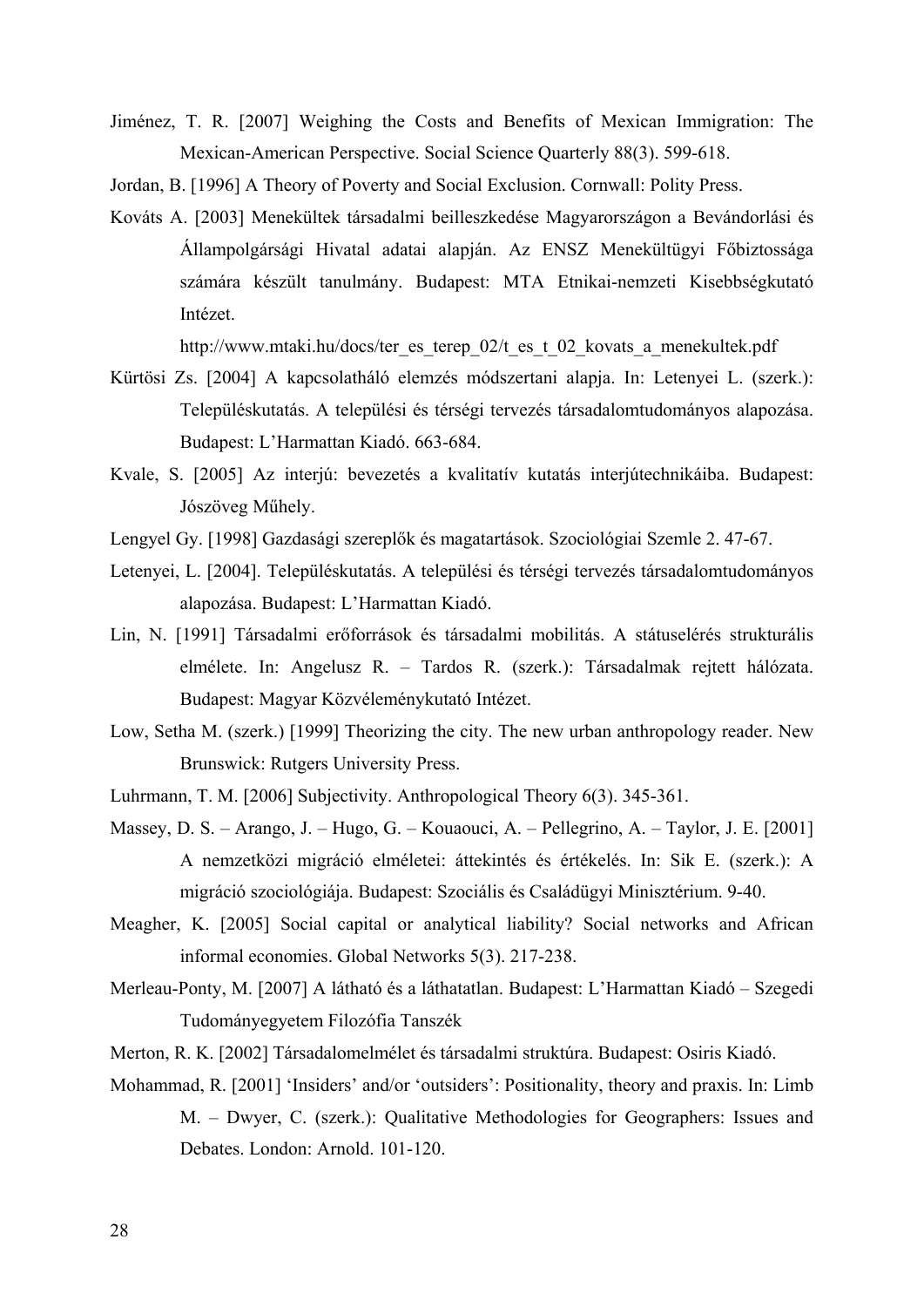- Jiménez, T. R. [2007] Weighing the Costs and Benefits of Mexican Immigration: The Mexican-American Perspective. Social Science Quarterly 88(3). 599-618.
- Jordan, B. [1996] A Theory of Poverty and Social Exclusion. Cornwall: Polity Press.
- Kováts A. [2003] Menekültek társadalmi beilleszkedése Magyarországon a Bevándorlási és Állampolgársági Hivatal adatai alapján. Az ENSZ Menekültügyi Főbiztossága számára készült tanulmány. Budapest: MTA Etnikai-nemzeti Kisebbségkutató Intézet.

http://www.mtaki.hu/docs/ter\_es\_terep\_02/t\_es\_t\_02\_kovats\_a\_menekultek.pdf

- Kürtösi Zs. [2004] A kapcsolatháló elemzés módszertani alapja. In: Letenyei L. (szerk.): Településkutatás. A települési és térségi tervezés társadalomtudományos alapozása. Budapest: L'Harmattan Kiadó. 663-684.
- Kvale, S. [2005] Az interjú: bevezetés a kvalitatív kutatás interjútechnikáiba. Budapest: Jószöveg Műhely.
- Lengyel Gy. [1998] Gazdasági szereplők és magatartások. Szociológiai Szemle 2. 47-67.
- Letenyei, L. [2004]. Településkutatás. A települési és térségi tervezés társadalomtudományos alapozása. Budapest: L'Harmattan Kiadó.
- Lin, N. [1991] Társadalmi erőforrások és társadalmi mobilitás. A státuselérés strukturális elmélete. In: Angelusz R. – Tardos R. (szerk.): Társadalmak rejtett hálózata. Budapest: Magyar Közvéleménykutató Intézet.
- Low, Setha M. (szerk.) [1999] Theorizing the city. The new urban anthropology reader. New Brunswick: Rutgers University Press.
- Luhrmann, T. M. [2006] Subjectivity. Anthropological Theory 6(3). 345-361.
- Massey, D. S. Arango, J. Hugo, G. Kouaouci, A. Pellegrino, A. Taylor, J. E. [2001] A nemzetközi migráció elméletei: áttekintés és értékelés. In: Sik E. (szerk.): A migráció szociológiája. Budapest: Szociális és Családügyi Minisztérium. 9-40.
- Meagher, K. [2005] Social capital or analytical liability? Social networks and African informal economies. Global Networks 5(3). 217-238.
- Merleau-Ponty, M. [2007] A látható és a láthatatlan. Budapest: L'Harmattan Kiadó Szegedi Tudományegyetem Filozófia Tanszék
- Merton, R. K. [2002] Társadalomelmélet és társadalmi struktúra. Budapest: Osiris Kiadó.
- Mohammad, R. [2001] 'Insiders' and/or 'outsiders': Positionality, theory and praxis. In: Limb M. – Dwyer, C. (szerk.): Qualitative Methodologies for Geographers: Issues and Debates. London: Arnold. 101-120.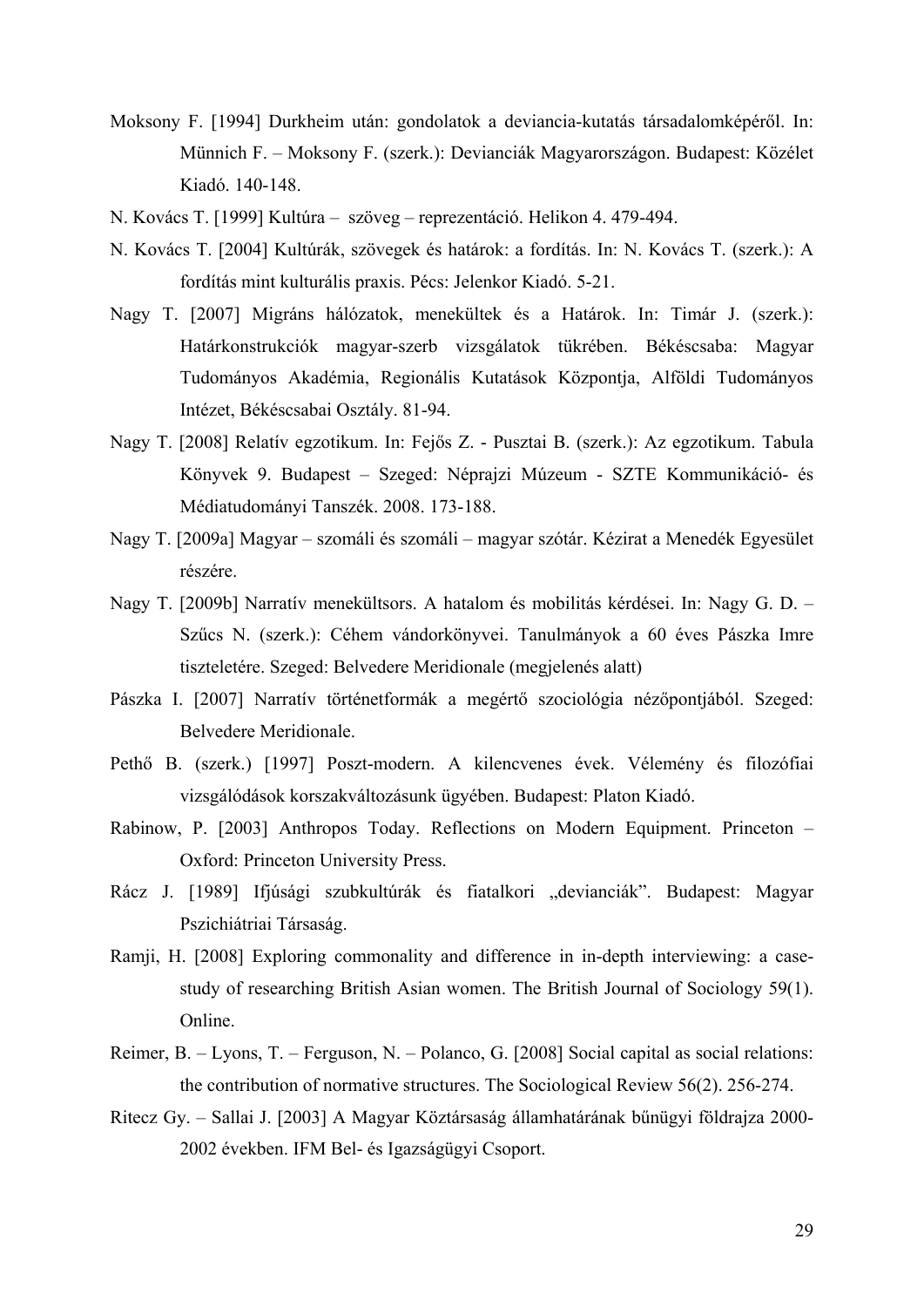- Moksony F. [1994] Durkheim után: gondolatok a deviancia-kutatás társadalomképéről. In: Münnich F. – Moksony F. (szerk.): Devianciák Magyarországon. Budapest: Közélet Kiadó. 140-148.
- N. Kovács T. [1999] Kultúra szöveg reprezentáció. Helikon 4. 479-494.
- N. Kovács T. [2004] Kultúrák, szövegek és határok: a fordítás. In: N. Kovács T. (szerk.): A fordítás mint kulturális praxis. Pécs: Jelenkor Kiadó. 5-21.
- Nagy T. [2007] Migráns hálózatok, menekültek és a Határok. In: Timár J. (szerk.): Határkonstrukciók magyar-szerb vizsgálatok tükrében. Békéscsaba: Magyar Tudományos Akadémia, Regionális Kutatások Központja, Alföldi Tudományos Intézet, Békéscsabai Osztály. 81-94.
- Nagy T. [2008] Relatív egzotikum. In: Fejős Z. Pusztai B. (szerk.): Az egzotikum. Tabula Könyvek 9. Budapest – Szeged: Néprajzi Múzeum - SZTE Kommunikáció- és Médiatudományi Tanszék. 2008. 173-188.
- Nagy T. [2009a] Magyar szomáli és szomáli magyar szótár. Kézirat a Menedék Egyesület részére.
- Nagy T. [2009b] Narratív menekültsors. A hatalom és mobilitás kérdései. In: Nagy G. D. Szűcs N. (szerk.): Céhem vándorkönyvei. Tanulmányok a 60 éves Pászka Imre tiszteletére. Szeged: Belvedere Meridionale (megjelenés alatt)
- Pászka I. [2007] Narratív történetformák a megértő szociológia nézőpontjából. Szeged: Belvedere Meridionale.
- Pethő B. (szerk.) [1997] Poszt-modern. A kilencvenes évek. Vélemény és filozófiai vizsgálódások korszakváltozásunk ügyében. Budapest: Platon Kiadó.
- Rabinow, P. [2003] Anthropos Today. Reflections on Modern Equipment. Princeton Oxford: Princeton University Press.
- Rácz J. [1989] Ifjúsági szubkultúrák és fiatalkori "devianciák". Budapest: Magyar Pszichiátriai Társaság.
- Ramji, H. [2008] Exploring commonality and difference in in-depth interviewing: a casestudy of researching British Asian women. The British Journal of Sociology 59(1). Online.
- Reimer, B. Lyons, T. Ferguson, N. Polanco, G. [2008] Social capital as social relations: the contribution of normative structures. The Sociological Review 56(2). 256-274.
- Ritecz Gy. Sallai J. [2003] A Magyar Köztársaság államhatárának bűnügyi földrajza 2000- 2002 években. IFM Bel- és Igazságügyi Csoport.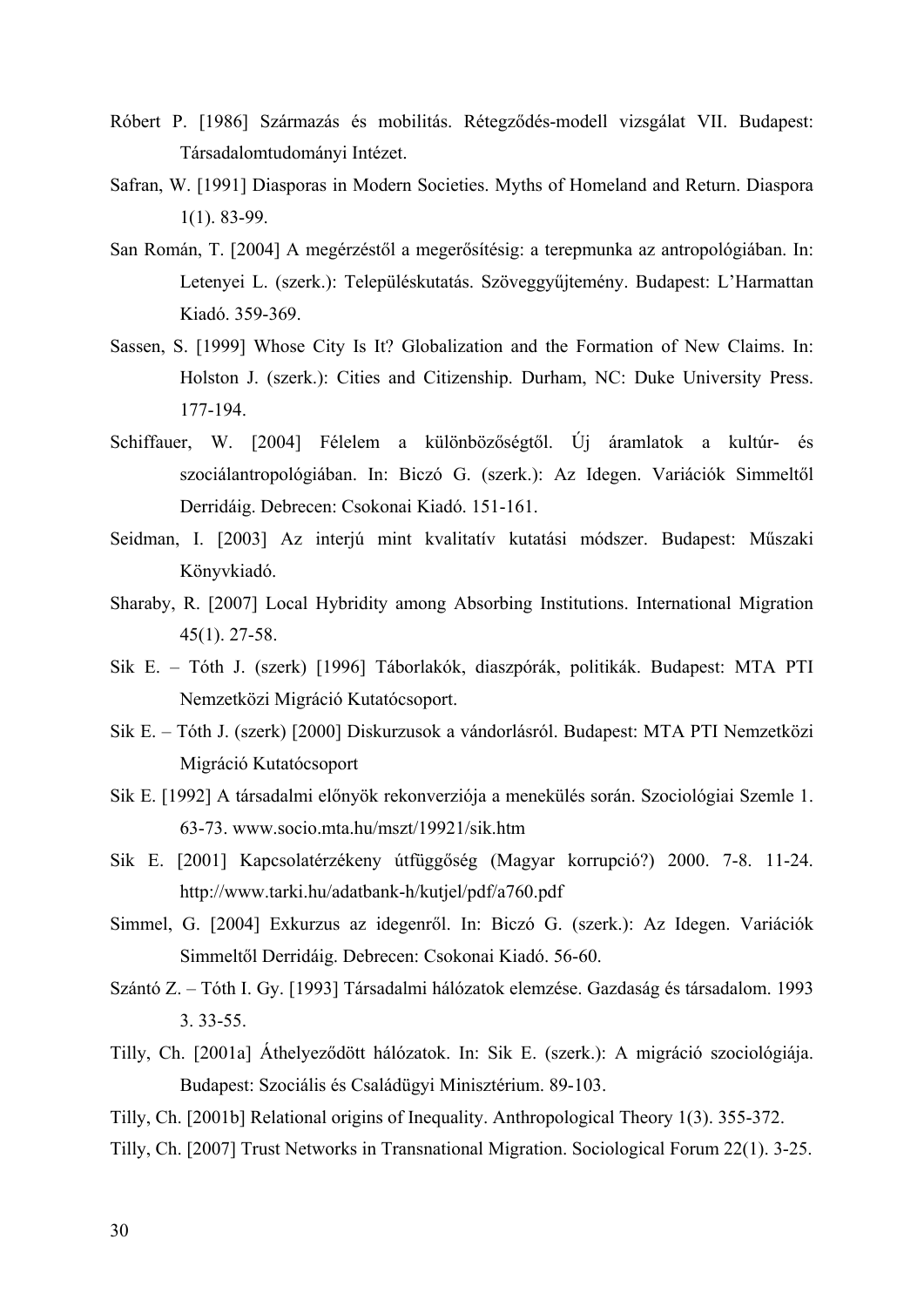- Róbert P. [1986] Származás és mobilitás. Rétegződés-modell vizsgálat VII. Budapest: Társadalomtudományi Intézet.
- Safran, W. [1991] Diasporas in Modern Societies. Myths of Homeland and Return. Diaspora 1(1). 83-99.
- San Román, T. [2004] A megérzéstől a megerősítésig: a terepmunka az antropológiában. In: Letenyei L. (szerk.): Településkutatás. Szöveggyűjtemény. Budapest: L'Harmattan Kiadó. 359-369.
- Sassen, S. [1999] Whose City Is It? Globalization and the Formation of New Claims. In: Holston J. (szerk.): Cities and Citizenship. Durham, NC: Duke University Press. 177-194.
- Schiffauer, W. [2004] Félelem a különbözőségtől. Új áramlatok a kultúr- és szociálantropológiában. In: Biczó G. (szerk.): Az Idegen. Variációk Simmeltől Derridáig. Debrecen: Csokonai Kiadó. 151-161.
- Seidman, I. [2003] Az interjú mint kvalitatív kutatási módszer. Budapest: Műszaki Könyvkiadó.
- Sharaby, R. [2007] Local Hybridity among Absorbing Institutions. International Migration 45(1). 27-58.
- Sik E. Tóth J. (szerk) [1996] Táborlakók, diaszpórák, politikák. Budapest: MTA PTI Nemzetközi Migráció Kutatócsoport.
- Sik E. Tóth J. (szerk) [2000] Diskurzusok a vándorlásról. Budapest: MTA PTI Nemzetközi Migráció Kutatócsoport
- Sik E. [1992] A társadalmi előnyök rekonverziója a menekülés során. Szociológiai Szemle 1. 63-73. www.socio.mta.hu/mszt/19921/sik.htm
- Sik E. [2001] Kapcsolatérzékeny útfüggőség (Magyar korrupció?) 2000. 7-8. 11-24. http://www.tarki.hu/adatbank-h/kutjel/pdf/a760.pdf
- Simmel, G. [2004] Exkurzus az idegenről. In: Biczó G. (szerk.): Az Idegen. Variációk Simmeltől Derridáig. Debrecen: Csokonai Kiadó. 56-60.
- Szántó Z. Tóth I. Gy. [1993] Társadalmi hálózatok elemzése. Gazdaság és társadalom. 1993 3. 33-55.
- Tilly, Ch. [2001a] Áthelyeződött hálózatok. In: Sik E. (szerk.): A migráció szociológiája. Budapest: Szociális és Családügyi Minisztérium. 89-103.
- Tilly, Ch. [2001b] Relational origins of Inequality. Anthropological Theory 1(3). 355-372.
- Tilly, Ch. [2007] Trust Networks in Transnational Migration. Sociological Forum 22(1). 3-25.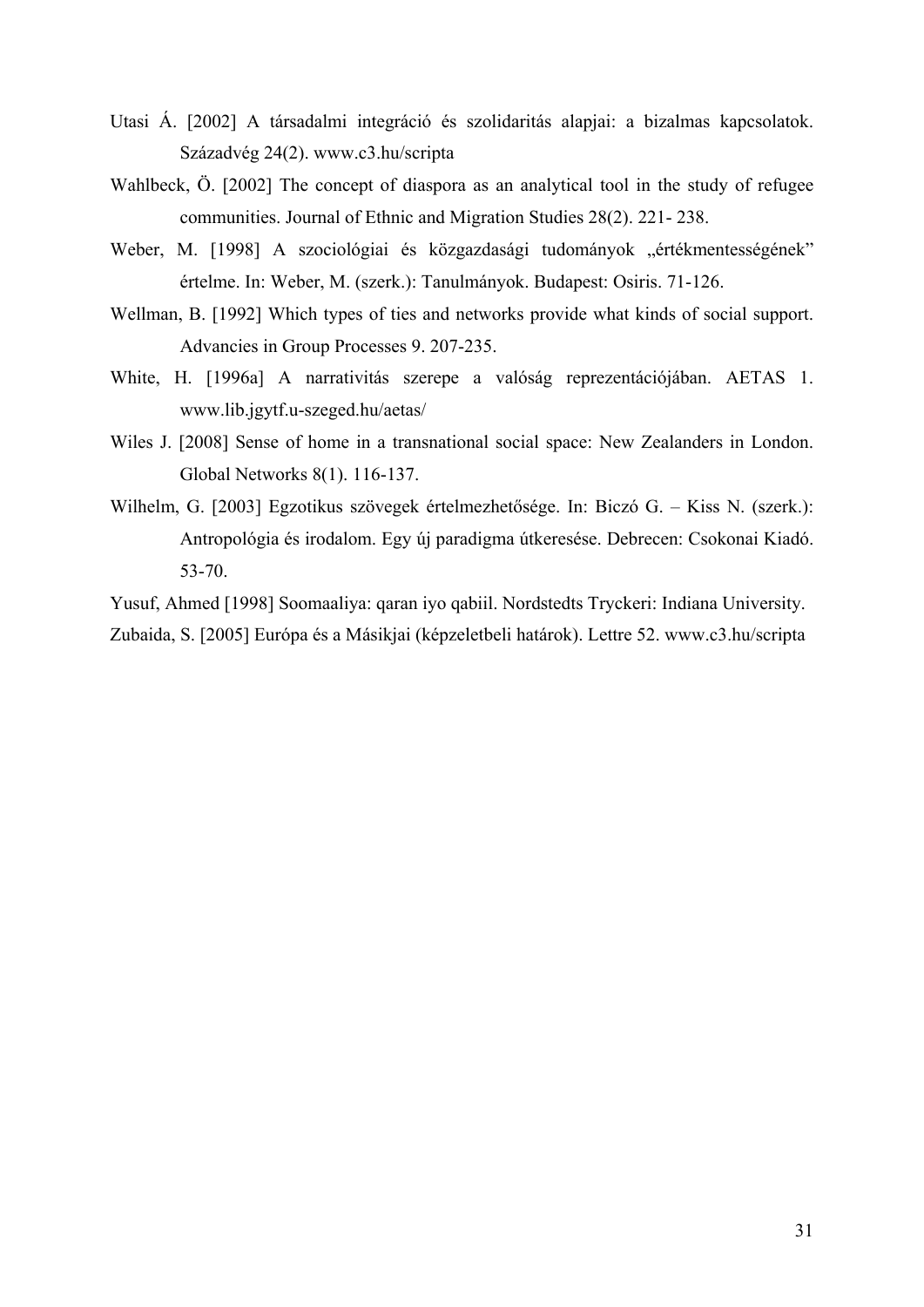- Utasi Á. [2002] A társadalmi integráció és szolidaritás alapjai: a bizalmas kapcsolatok. Századvég 24(2). www.c3.hu/scripta
- Wahlbeck, Ö. [2002] The concept of diaspora as an analytical tool in the study of refugee communities. Journal of Ethnic and Migration Studies 28(2). 221- 238.
- Weber, M. [1998] A szociológiai és közgazdasági tudományok "értékmentességének" értelme. In: Weber, M. (szerk.): Tanulmányok. Budapest: Osiris. 71-126.
- Wellman, B. [1992] Which types of ties and networks provide what kinds of social support. Advancies in Group Processes 9. 207-235.
- White, H. [1996a] A narrativitás szerepe a valóság reprezentációjában. AETAS 1. www.lib.jgytf.u-szeged.hu/aetas/
- Wiles J. [2008] Sense of home in a transnational social space: New Zealanders in London. Global Networks 8(1). 116-137.
- Wilhelm, G. [2003] Egzotikus szövegek értelmezhetősége. In: Biczó G. Kiss N. (szerk.): Antropológia és irodalom. Egy új paradigma útkeresése. Debrecen: Csokonai Kiadó. 53-70.

Yusuf, Ahmed [1998] Soomaaliya: qaran iyo qabiil. Nordstedts Tryckeri: Indiana University.

Zubaida, S. [2005] Európa és a Másikjai (képzeletbeli határok). Lettre 52. www.c3.hu/scripta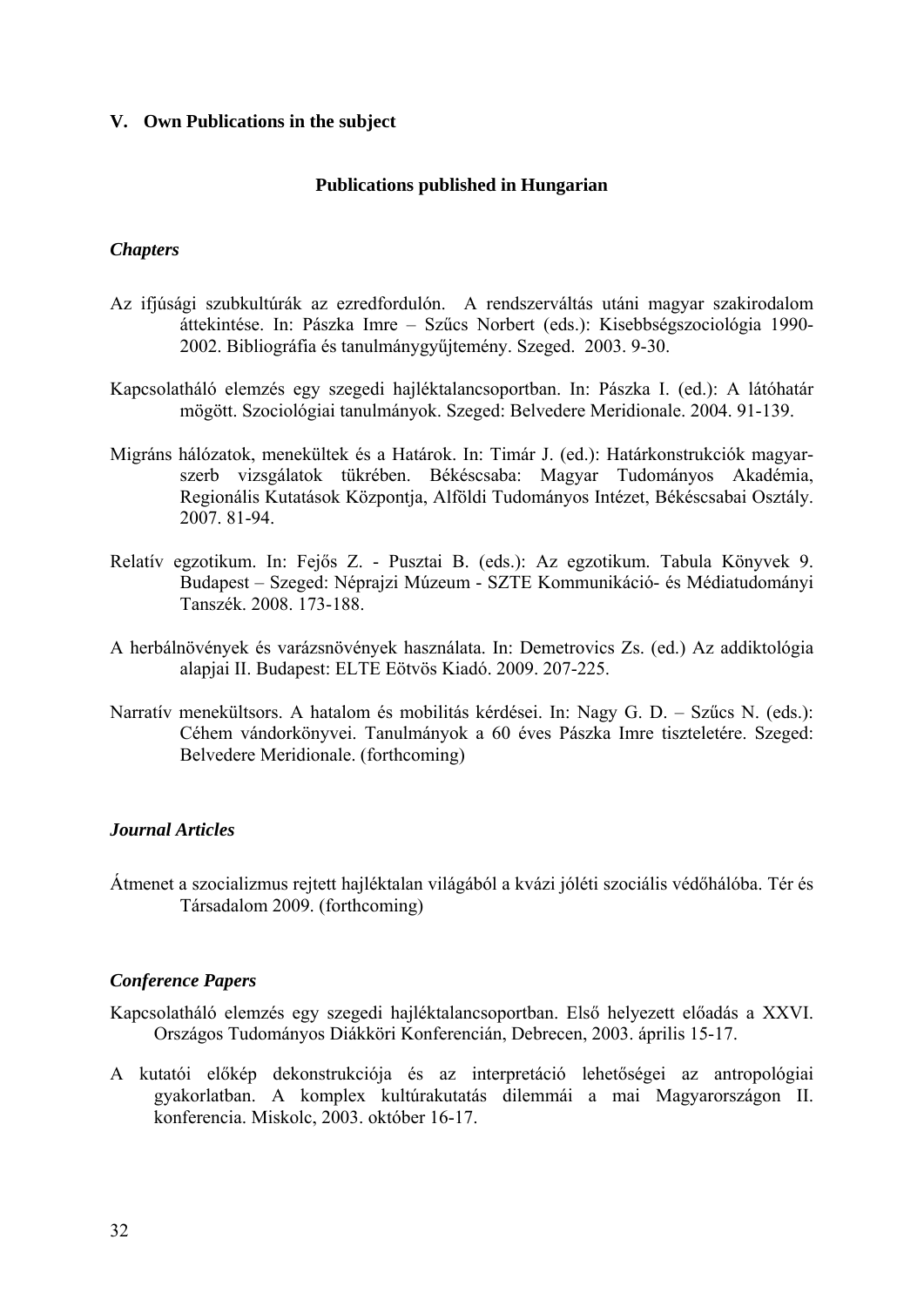# <span id="page-31-0"></span>**V. Own Publications in the subject**

# **Publications published in Hungarian**

# *Chapters*

- Az ifjúsági szubkultúrák az ezredfordulón. A rendszerváltás utáni magyar szakirodalom áttekintése. In: Pászka Imre – Szűcs Norbert (eds.): Kisebbségszociológia 1990- 2002. Bibliográfia és tanulmánygyűjtemény. Szeged. 2003. 9-30.
- Kapcsolatháló elemzés egy szegedi hajléktalancsoportban. In: Pászka I. (ed.): A látóhatár mögött. Szociológiai tanulmányok. Szeged: Belvedere Meridionale. 2004. 91-139.
- Migráns hálózatok, menekültek és a Határok. In: Timár J. (ed.): Határkonstrukciók magyarszerb vizsgálatok tükrében. Békéscsaba: Magyar Tudományos Akadémia, Regionális Kutatások Központja, Alföldi Tudományos Intézet, Békéscsabai Osztály. 2007. 81-94.
- Relatív egzotikum. In: Fejős Z. Pusztai B. (eds.): Az egzotikum. Tabula Könyvek 9. Budapest – Szeged: Néprajzi Múzeum - SZTE Kommunikáció- és Médiatudományi Tanszék. 2008. 173-188.
- A herbálnövények és varázsnövények használata. In: Demetrovics Zs. (ed.) Az addiktológia alapjai II. Budapest: ELTE Eötvös Kiadó. 2009. 207-225.
- Narratív menekültsors. A hatalom és mobilitás kérdései. In: Nagy G. D. Szűcs N. (eds.): Céhem vándorkönyvei. Tanulmányok a 60 éves Pászka Imre tiszteletére. Szeged: Belvedere Meridionale. (forthcoming)

# *Journal Articles*

Átmenet a szocializmus rejtett hajléktalan világából a kvázi jóléti szociális védőhálóba. Tér és Társadalom 2009. (forthcoming)

# *Conference Papers*

Kapcsolatháló elemzés egy szegedi hajléktalancsoportban. Első helyezett előadás a XXVI. Országos Tudományos Diákköri Konferencián, Debrecen, 2003. április 15-17.

A kutatói előkép dekonstrukciója és az interpretáció lehetőségei az antropológiai gyakorlatban. A komplex kultúrakutatás dilemmái a mai Magyarországon II. konferencia. Miskolc, 2003. október 16-17.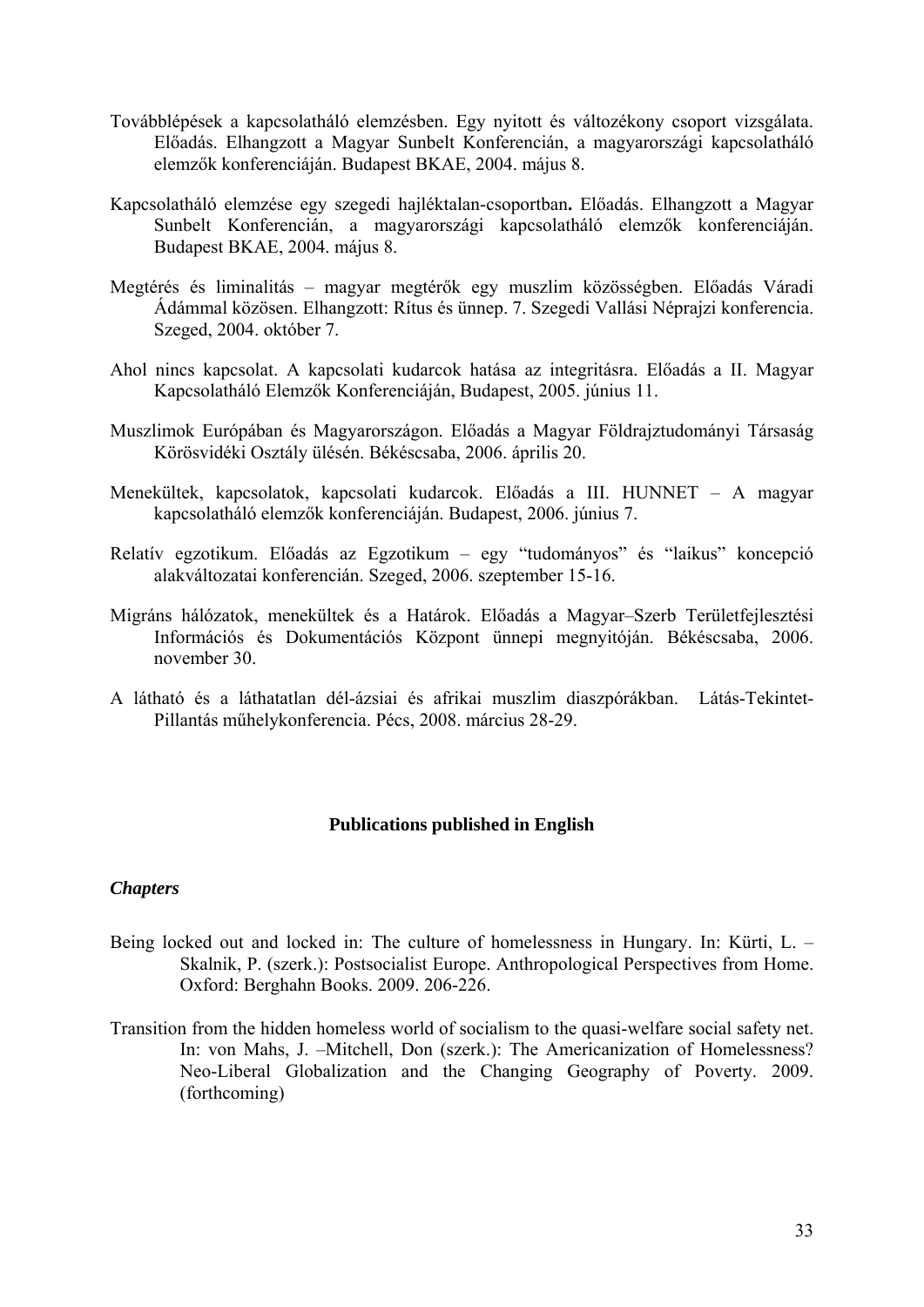- Továbblépések a kapcsolatháló elemzésben. Egy nyitott és változékony csoport vizsgálata. Előadás. Elhangzott a Magyar Sunbelt Konferencián, a magyarországi kapcsolatháló elemzők konferenciáján. Budapest BKAE, 2004. május 8.
- Kapcsolatháló elemzése egy szegedi hajléktalan-csoportban**.** Előadás. Elhangzott a Magyar Sunbelt Konferencián, a magyarországi kapcsolatháló elemzők konferenciáján. Budapest BKAE, 2004. május 8.
- Megtérés és liminalitás magyar megtérők egy muszlim közösségben. Előadás Váradi Ádámmal közösen. Elhangzott: Rítus és ünnep. 7. Szegedi Vallási Néprajzi konferencia. Szeged, 2004. október 7.
- Ahol nincs kapcsolat. A kapcsolati kudarcok hatása az integritásra. Előadás a II. Magyar Kapcsolatháló Elemzők Konferenciáján, Budapest, 2005. június 11.
- Muszlimok Európában és Magyarországon. Előadás a Magyar Földrajztudományi Társaság Körösvidéki Osztály ülésén. Békéscsaba, 2006. április 20.
- Menekültek, kapcsolatok, kapcsolati kudarcok. Előadás a III. HUNNET A magyar kapcsolatháló elemzők konferenciáján. Budapest, 2006. június 7.
- Relatív egzotikum. Előadás az Egzotikum egy "tudományos" és "laikus" koncepció alakváltozatai konferencián. Szeged, 2006. szeptember 15-16.
- Migráns hálózatok, menekültek és a Határok. Előadás a Magyar–Szerb Területfejlesztési Információs és Dokumentációs Központ ünnepi megnyitóján. Békéscsaba, 2006. november 30.
- A látható és a láthatatlan dél-ázsiai és afrikai muszlim diaszpórákban. Látás-Tekintet-Pillantás műhelykonferencia. Pécs, 2008. március 28-29.

# **Publications published in English**

# *Chapters*

- Being locked out and locked in: The culture of homelessness in Hungary. In: Kürti, L. Skalnik, P. (szerk.): Postsocialist Europe. Anthropological Perspectives from Home. Oxford: Berghahn Books. 2009. 206-226.
- Transition from the hidden homeless world of socialism to the quasi-welfare social safety net. In: von Mahs, J. –Mitchell, Don (szerk.): The Americanization of Homelessness? Neo-Liberal Globalization and the Changing Geography of Poverty. 2009. (forthcoming)